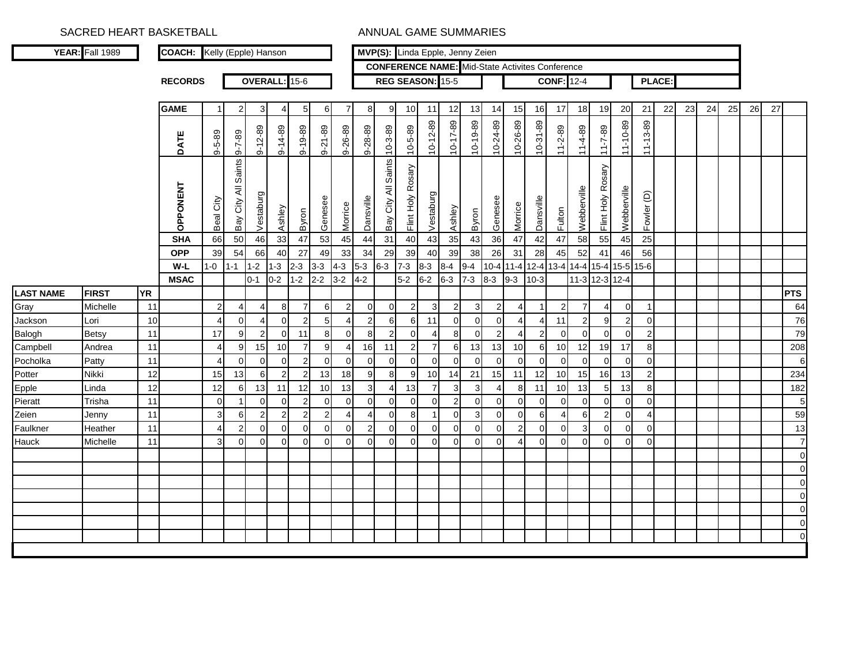|                  | YEAR: Fall 1989 |           | <b>COACH:</b> Kelly (Epple) Hanson |                |                        |                  |                |                         |                  |                |                |                     | MVP(S): Linda Epple, Jenny Zeien |                |                |                |                |                |                                                        |                   |                |                   |                |                |               |    |    |    |    |    |                 |
|------------------|-----------------|-----------|------------------------------------|----------------|------------------------|------------------|----------------|-------------------------|------------------|----------------|----------------|---------------------|----------------------------------|----------------|----------------|----------------|----------------|----------------|--------------------------------------------------------|-------------------|----------------|-------------------|----------------|----------------|---------------|----|----|----|----|----|-----------------|
|                  |                 |           |                                    |                |                        |                  |                |                         |                  |                |                |                     |                                  |                |                |                |                |                | <b>CONFERENCE NAME:</b> Mid-State Activites Conference |                   |                |                   |                |                |               |    |    |    |    |    |                 |
|                  |                 |           | <b>RECORDS</b>                     |                |                        |                  |                | OVERALL: 15-6           |                  |                |                |                     | REG SEASON: 15-5                 |                |                |                |                |                |                                                        | <b>CONF: 12-4</b> |                |                   |                |                | <b>PLACE:</b> |    |    |    |    |    |                 |
|                  |                 |           |                                    |                |                        |                  |                |                         |                  |                |                |                     |                                  |                |                |                |                |                |                                                        |                   |                |                   |                |                |               |    |    |    |    |    |                 |
|                  |                 |           | <b>GAME</b>                        | $\mathbf{1}$   | $\overline{2}$         | 3                | 4              | 5                       | 6                | $\overline{7}$ | 8              | 9                   | 10                               | 11             | 12             | 13             | 14             | 15             | 16                                                     | 17                | 18             | 19                | 20             | 21             | 22            | 23 | 24 | 25 | 26 | 27 |                 |
|                  |                 |           | DATE                               | $9 - 5 - 89$   | $9 - 7 - 89$           | $9 - 12 - 89$    | $9 - 14 - 89$  | $9 - 19 - 89$           | $9 - 21 - 89$    | 9-26-89        | 9-28-89        | $10 - 3 - 89$       | $10 - 5 - 89$                    | $10 - 12 - 89$ | $10 - 17 - 89$ | $0.10 - 0.19$  | 10-24-89       | 10-26-89       | 10-31-89                                               | $11 - 2 - 89$     | $11-4-89$      | $11 - 7 - 89$     | 11-10-89       | $11 - 13 - 89$ |               |    |    |    |    |    |                 |
|                  |                 |           | <b>OPPONENT</b>                    | Beal City      | Saints<br>Bay City All | Vestaburg        | 33 Ashley      | A Byron                 | Genesee          | the Morrice    | A Dansville    | Bay City All Saints | Flint Holy Rosary                | Vestaburg      | Ashley         | Byron          | Genesee        | Morrice        | Dansville                                              | Fulton            | Webberville    | Flint Holy Rosary | Webberville    | ê<br>Fowler    |               |    |    |    |    |    |                 |
|                  |                 |           | <b>SHA</b>                         | 66             | 50                     | 46               |                |                         | 53               |                |                | 31                  | 40                               | 43             | 35             | 43             | 36             | 47             | 42                                                     | 47                | 58             | 55                | 45             | 25             |               |    |    |    |    |    |                 |
|                  |                 |           | <b>OPP</b>                         | 39             | 54                     | 66               | 40             | 27                      | 49               | 33             | 34             | 29                  | 39                               | 40             | 39             | 38             | 26             | 31             | 28                                                     | 45                | 52             | 41                | 46             | 56             |               |    |    |    |    |    |                 |
|                  |                 |           | W-L                                | $1 - 0$        | $1 - 1$                | $1 - 2$          | $1 - 3$        | $2 - 3$                 | $3 - 3$          | $4 - 3$        | $5-3$          | $6-3$               | $7 - 3$                          | $8 - 3$        | $8-4$          | $9 - 4$        | $10 - 4$       | $11 - 4$       | 12-4 13-4                                              |                   | $14 - 4$       |                   |                | 15-4 15-5 15-6 |               |    |    |    |    |    |                 |
|                  |                 |           | <b>MSAC</b>                        |                |                        | $0 - 1$          | $0 - 2$        | $1 - 2$                 | $2 - 2$          | $3 - 2$        | $4-2$          |                     | $5-2$                            | $6-2$          | $6 - 3$        | $7 - 3$        | $8 - 3$        | $9 - 3$        | $10-3$                                                 |                   |                | 11-3 12-3 12-4    |                |                |               |    |    |    |    |    |                 |
| <b>LAST NAME</b> | <b>FIRST</b>    | <b>YR</b> |                                    |                |                        |                  |                |                         |                  |                |                |                     |                                  |                |                |                |                |                |                                                        |                   |                |                   |                |                |               |    |    |    |    |    | <b>PTS</b>      |
| Gray             | Michelle        | 11        |                                    | $\overline{2}$ |                        | 4                | 8              | $\overline{7}$          | 6                | $\overline{2}$ | $\mathbf 0$    | $\mathbf 0$         | $\overline{2}$                   | 3              | $\overline{2}$ | $\mathbf{3}$   | $\overline{2}$ | 4              |                                                        | 2                 |                | 4                 | $\overline{0}$ | 1              |               |    |    |    |    |    | 64              |
| Jackson          | Lori            | 10        |                                    | 4              | $\mathbf 0$            | $\overline{4}$   | $\mathbf 0$    | $\overline{2}$          | 5                | $\overline{4}$ | $\overline{c}$ | 6                   | 6                                | 11             | $\overline{0}$ | $\overline{0}$ | $\Omega$       | 4              | $\overline{4}$                                         | 11                | $\overline{2}$ | 9                 | $\overline{2}$ | $\overline{0}$ |               |    |    |    |    |    | 76              |
| Balogh           | <b>Betsy</b>    | 11        |                                    | 17             | 9                      | $\overline{2}$   | $\mathbf 0$    | 11                      | 8                | $\overline{0}$ | 8              | $\overline{2}$      | $\mathbf 0$                      | -4             | 8              | $\Omega$       | $\overline{2}$ | 4              | 2                                                      | $\Omega$          | $\Omega$       | $\Omega$          | $\Omega$       | $\overline{2}$ |               |    |    |    |    |    | 79              |
| Campbell         | Andrea          | 11        |                                    | 4              | $\boldsymbol{9}$       | 15               | 10             | $\overline{7}$          | $\boldsymbol{9}$ | 4              | 16             | 11                  | $\overline{2}$                   | $\overline{7}$ | 6              | 13             | 13             | 10             | 6                                                      | 10                | 12             | 19                | 17             | $\bf{8}$       |               |    |    |    |    |    | 208             |
| Pocholka         | Patty           | 11        |                                    | 4              | $\mathbf 0$            | $\pmb{0}$        | $\pmb{0}$      | $\overline{c}$          | $\mathbf 0$      | $\mathbf 0$    | $\overline{0}$ | $\overline{0}$      | $\overline{0}$                   | $\overline{0}$ | $\Omega$       | $\Omega$       | $\Omega$       | $\Omega$       | $\Omega$                                               | $\Omega$          | $\Omega$       | $\Omega$          | $\Omega$       | $\overline{0}$ |               |    |    |    |    |    | $6\overline{6}$ |
| Potter           | Nikki           | 12        |                                    | 15             | 13                     | $\,6\,$          | $\mathbf 2$    | $\overline{\mathbf{c}}$ | 13               | 18             | 9              | 8                   | 9                                | 10             | 14             | 21             | 15             | 11             | 12                                                     | 10                | 15             | 16                | 13             | $\mathbf{2}$   |               |    |    |    |    |    | 234             |
| Epple            | Linda           | 12        |                                    | 12             | 6                      | 13               | 11             | 12                      | 10               | 13             | $\mathbf{3}$   | $\overline{4}$      | 13                               | $\overline{7}$ | 3              | 3              | 4              | 8              | 11                                                     | 10                | 13             | 5 <sub>l</sub>    | 13             | 8              |               |    |    |    |    |    | 182             |
| Pieratt          | Trisha          | 11        |                                    | $\mathbf 0$    | $\mathbf{1}$           | $\mathbf 0$      | $\mathbf 0$    | $\overline{c}$          | $\pmb{0}$        | $\pmb{0}$      | $\pmb{0}$      | $\mathbf 0$         | $\overline{0}$                   | $\mathbf 0$    | $\overline{2}$ | $\overline{0}$ | $\overline{0}$ | $\overline{0}$ | $\overline{0}$                                         | $\mathbf 0$       | 0              | $\overline{0}$    | $\overline{0}$ | $\overline{0}$ |               |    |    |    |    |    | $\overline{5}$  |
| Zeien            | Jenny           | 11        |                                    | 3              | 6                      | $\overline{2}$   | $\overline{2}$ | $\overline{2}$          | $\overline{2}$   | $\overline{4}$ | $\overline{4}$ | $\mathbf 0$         | 8                                |                | $\overline{0}$ | $\mathbf{3}$   | $\overline{0}$ | $\overline{0}$ | $6 \mid$                                               | $\overline{4}$    | 6              | $\overline{2}$    | $\Omega$       | $\vert$        |               |    |    |    |    |    | 59              |
| Faulkner         | Heather         | 11        |                                    | 4              | $\boldsymbol{2}$       | $\boldsymbol{0}$ | $\mathbf 0$    | $\mathbf 0$             | $\mathbf 0$      | $\mathbf 0$    | $\overline{2}$ | $\mathbf 0$         | $\overline{0}$                   | $\mathbf 0$    | $\overline{0}$ | $\overline{0}$ | $\overline{0}$ | $\overline{2}$ | $\Omega$                                               | $\Omega$          | 3              | $\Omega$          | $\Omega$       | $\overline{0}$ |               |    |    |    |    |    | 13              |
| Hauck            | Michelle        | 11        |                                    | 3              | 0                      | $\mathbf 0$      | $\Omega$       | $\Omega$                | $\Omega$         | $\Omega$       | $\Omega$       | $\Omega$            | $\Omega$                         | $\Omega$       | $\Omega$       | $\Omega$       | $\Omega$       |                | $\Omega$                                               | $\Omega$          | $\Omega$       | $\Omega$          | $\Omega$       | $\overline{0}$ |               |    |    |    |    |    | $\overline{7}$  |
|                  |                 |           |                                    |                |                        |                  |                |                         |                  |                |                |                     |                                  |                |                |                |                |                |                                                        |                   |                |                   |                |                |               |    |    |    |    |    | $\mathbf 0$     |
|                  |                 |           |                                    |                |                        |                  |                |                         |                  |                |                |                     |                                  |                |                |                |                |                |                                                        |                   |                |                   |                |                |               |    |    |    |    |    | $\overline{0}$  |
|                  |                 |           |                                    |                |                        |                  |                |                         |                  |                |                |                     |                                  |                |                |                |                |                |                                                        |                   |                |                   |                |                |               |    |    |    |    |    | $\mathbf 0$     |
|                  |                 |           |                                    |                |                        |                  |                |                         |                  |                |                |                     |                                  |                |                |                |                |                |                                                        |                   |                |                   |                |                |               |    |    |    |    |    | $\overline{0}$  |
|                  |                 |           |                                    |                |                        |                  |                |                         |                  |                |                |                     |                                  |                |                |                |                |                |                                                        |                   |                |                   |                |                |               |    |    |    |    |    | $\overline{0}$  |
|                  |                 |           |                                    |                |                        |                  |                |                         |                  |                |                |                     |                                  |                |                |                |                |                |                                                        |                   |                |                   |                |                |               |    |    |    |    |    | $\overline{0}$  |
|                  |                 |           |                                    |                |                        |                  |                |                         |                  |                |                |                     |                                  |                |                |                |                |                |                                                        |                   |                |                   |                |                |               |    |    |    |    |    | $\overline{O}$  |
|                  |                 |           |                                    |                |                        |                  |                |                         |                  |                |                |                     |                                  |                |                |                |                |                |                                                        |                   |                |                   |                |                |               |    |    |    |    |    |                 |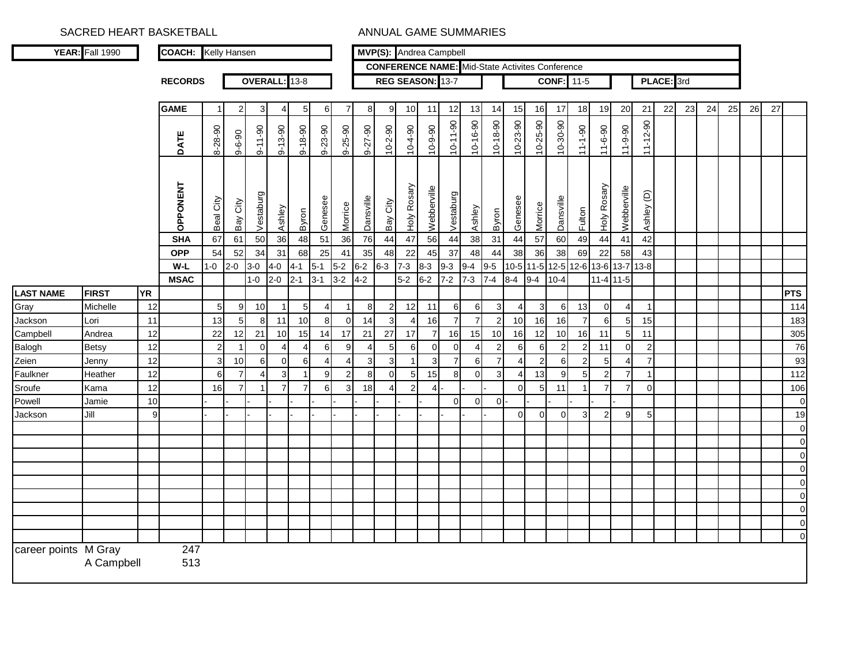|                      | YEAR: Fall 1990 |           | <b>COACH:</b> Kelly Hansen |                |                |                |                |                |                |                |                |                          |                | MVP(S): Andrea Campbell                                |                |                |                |                       |                |                   |                |                |               |                |            |    |    |    |    |    |             |
|----------------------|-----------------|-----------|----------------------------|----------------|----------------|----------------|----------------|----------------|----------------|----------------|----------------|--------------------------|----------------|--------------------------------------------------------|----------------|----------------|----------------|-----------------------|----------------|-------------------|----------------|----------------|---------------|----------------|------------|----|----|----|----|----|-------------|
|                      |                 |           |                            |                |                |                |                |                |                |                |                |                          |                | <b>CONFERENCE NAME:</b> Mid-State Activites Conference |                |                |                |                       |                |                   |                |                |               |                |            |    |    |    |    |    |             |
|                      |                 |           | <b>RECORDS</b>             |                |                |                | OVERALL: 13-8  |                |                |                |                |                          |                | REG SEASON: 13-7                                       |                |                |                |                       |                | <b>CONF:</b> 11-5 |                |                |               |                | PLACE: 3rd |    |    |    |    |    |             |
|                      |                 |           |                            |                |                |                |                |                |                |                |                |                          |                |                                                        |                |                |                |                       |                |                   |                |                |               |                |            |    |    |    |    |    |             |
|                      |                 |           | <b>GAME</b>                | -1             | $\overline{2}$ | 3              | 4              | 5              | 6              | $\overline{7}$ | 8              | 9                        | 10             | 11                                                     | 12             | 13             | 14             | 15                    | 16             | 17                | 18             | 19             | 20            | 21             | 22         | 23 | 24 | 25 | 26 | 27 |             |
|                      |                 |           | DATE                       | 8-28-90        | $9 - 6 - 90$   | $9 - 11 - 90$  | $9 - 13 - 90$  | $9 - 18 - 90$  | $9 - 23 - 90$  | $9 - 25 - 90$  | 9-27-90        | $10 - 2 - 90$            | $06 - 4 - 01$  | $10 - 9 - 90$                                          | $10-11-90$     | $10 - 16 - 90$ | $10 - 18 - 90$ | $10 - 23 - 90$        | 10-25-90       | $10-30-90$        | $06 - 1 - 1$   | $11 - 6 - 90$  | $11 - 9 - 90$ | $11 - 12 - 90$ |            |    |    |    |    |    |             |
|                      |                 |           | <b>OPPONENT</b>            | Beal City      | Bay City       | Vestaburg      | Ashley         | Byron          | Genesee        | Morrice        | Dansville      | Bay City                 | Holy Rosary    | Webberville                                            | Vestaburg      | Ashley         | Byron          | Genesee               | Morrice        | Dansville         | Fulton         | Holy Rosary    | Webberville   | Ashley (D)     |            |    |    |    |    |    |             |
|                      |                 |           | <b>SHA</b>                 | 67             | 61             | 50             | 36             | 48             | 51             | 36             | 76             | 44                       | 47             | 56                                                     | 44             | 38             | 31             | 44                    | 57             | 60                | 49             | 44             | 41            | 42             |            |    |    |    |    |    |             |
|                      |                 |           | <b>OPP</b>                 | 54             | 52             | 34             | 31             | 68             | 25             | 41             | 35             | 48                       | 22             | 45                                                     | 37             | 48             | 44             | 38                    | 36             | 38                | 69             | 22             | 58            | 43             |            |    |    |    |    |    |             |
|                      |                 |           | $W-L$                      | $1 - 0$        | $2 - 0$        | $3-0$          | $4 - 0$        | $4 - 1$        | $5-1$          | $5-2$          | $6 - 2$        | $6-3$                    | $7 - 3$        | $8 - 3$                                                | $9-3$          | $9 - 4$        | $9-5$          | $10-5$                | $11 - 5$       | $12 - 5$          | 12-6 13-6      |                | $13 - 7$      | $13 - 8$       |            |    |    |    |    |    |             |
|                      |                 |           | <b>MSAC</b>                |                |                | $1 - 0$        | $2 - 0$        | $2 - 1$        | $3 - 1$        | $3 - 2$        | $4-2$          |                          | $5-2$          | $6 - 2$                                                | $7 - 2$        | $7 - 3$        | $7 - 4$        | $8 - 4$               | $9 - 4$        | $10 - 4$          |                | $11-4$ 11-5    |               |                |            |    |    |    |    |    |             |
| <b>LAST NAME</b>     | <b>FIRST</b>    | <b>YR</b> |                            |                |                |                |                |                |                |                |                |                          |                |                                                        |                |                |                |                       |                |                   |                |                |               |                |            |    |    |    |    |    | <b>PTS</b>  |
| Gray                 | Michelle        | 12        |                            | $\,$ 5 $\,$    | 9              | 10             | $\mathbf{1}$   | $\sqrt{5}$     | $\overline{4}$ |                | 8              | $\overline{\mathbf{c}}$  | 12             | 11                                                     | 6              | 6              | 3              | $\boldsymbol{\Delta}$ | 3              | 6                 | 13             | 0              |               | $\overline{1}$ |            |    |    |    |    |    | 114         |
| Jackson              | Lori            | 11        |                            | 13             | $\overline{5}$ | 8              | 11             | 10             | 8              | $\mathbf 0$    | 14             | $\overline{3}$           | $\overline{4}$ | 16                                                     | $\overline{7}$ | $\overline{7}$ | $\overline{2}$ | 10                    | 16             | 16                | $\overline{7}$ | 6              | 5             | 15             |            |    |    |    |    |    | 183         |
| Campbell             | Andrea          | 12        |                            | 22             | 12             | 21             | 10             | 15             | 14             | 17             | 21             | 27                       | 17             | $\overline{7}$                                         | 16             | 15             | 10             | 16                    | 12             | 10                | 16             | 11             | 5             | 11             |            |    |    |    |    |    | 305         |
| Balogh               | <b>Betsy</b>    | 12        |                            | $\overline{2}$ | $\mathbf{1}$   | $\pmb{0}$      | $\overline{4}$ | $\overline{4}$ | 6              | 9              | $\overline{4}$ | 5                        | 6              | $\overline{0}$                                         | $\overline{0}$ | $\overline{4}$ | $\overline{2}$ | 6                     | 6              | $\overline{2}$    | $\overline{2}$ | 11             | $\Omega$      | $\overline{2}$ |            |    |    |    |    |    | 76          |
| Zeien                | Jenny           | 12        |                            | 3              | 10             | 6              | $\mathbf 0$    | 6              | $\overline{4}$ | $\overline{4}$ | 3              | 3                        |                | 3                                                      | $\overline{7}$ | 6              | $\overline{7}$ | $\boldsymbol{\Delta}$ | $\overline{2}$ | 6                 | $\mathfrak{p}$ | 5              |               | $\overline{7}$ |            |    |    |    |    |    | 93          |
| Faulkner             | Heather         | 12        |                            | 6              | $\overline{7}$ | $\overline{4}$ | 3              | -1             | 9              | $\overline{2}$ | 8              | $\mathbf 0$              | $\sqrt{5}$     | 15                                                     | 8              | $\overline{0}$ | $\mathbf{3}$   | 4                     | 13             | 9                 | 5              | $\overline{2}$ | 7             | -1             |            |    |    |    |    |    | 112         |
| Sroufe               | Kama            | 12        |                            | 16             | $\overline{7}$ | $\overline{1}$ | $\overline{7}$ | $\overline{7}$ | 6              | 3              | 18             | $\overline{\mathcal{A}}$ | $\overline{c}$ | Δ                                                      |                |                |                | $\Omega$              | 5              | 11                |                |                |               | $\Omega$       |            |    |    |    |    |    | 106         |
| Powell               | Jamie           | 10        |                            |                |                |                |                |                |                |                |                |                          |                |                                                        | $\Omega$       | $\Omega$       | 0 <sup>1</sup> |                       |                |                   |                |                |               |                |            |    |    |    |    |    | $\pmb{0}$   |
| Jackson              | Jill            | 9         |                            |                |                |                |                |                |                |                |                |                          |                |                                                        |                |                |                | $\Omega$              | $\Omega$       | $\Omega$          | $\mathbf{3}$   | $\overline{2}$ | 9             | 5 <sub>5</sub> |            |    |    |    |    |    | 19          |
|                      |                 |           |                            |                |                |                |                |                |                |                |                |                          |                |                                                        |                |                |                |                       |                |                   |                |                |               |                |            |    |    |    |    |    | $\pmb{0}$   |
|                      |                 |           |                            |                |                |                |                |                |                |                |                |                          |                |                                                        |                |                |                |                       |                |                   |                |                |               |                |            |    |    |    |    |    | $\pmb{0}$   |
|                      |                 |           |                            |                |                |                |                |                |                |                |                |                          |                |                                                        |                |                |                |                       |                |                   |                |                |               |                |            |    |    |    |    |    | $\mathbf 0$ |
|                      |                 |           |                            |                |                |                |                |                |                |                |                |                          |                |                                                        |                |                |                |                       |                |                   |                |                |               |                |            |    |    |    |    |    | $\pmb{0}$   |
|                      |                 |           |                            |                |                |                |                |                |                |                |                |                          |                |                                                        |                |                |                |                       |                |                   |                |                |               |                |            |    |    |    |    |    | $\pmb{0}$   |
|                      |                 |           |                            |                |                |                |                |                |                |                |                |                          |                |                                                        |                |                |                |                       |                |                   |                |                |               |                |            |    |    |    |    |    | $\mathbf 0$ |
|                      |                 |           |                            |                |                |                |                |                |                |                |                |                          |                |                                                        |                |                |                |                       |                |                   |                |                |               |                |            |    |    |    |    |    | $\pmb{0}$   |
|                      |                 |           |                            |                |                |                |                |                |                |                |                |                          |                |                                                        |                |                |                |                       |                |                   |                |                |               |                |            |    |    |    |    |    | $\pmb{0}$   |
|                      |                 |           |                            |                |                |                |                |                |                |                |                |                          |                |                                                        |                |                |                |                       |                |                   |                |                |               |                |            |    |    |    |    |    | $\mathbf 0$ |
| career points M Gray | A Campbell      |           | $\overline{247}$<br>513    |                |                |                |                |                |                |                |                |                          |                |                                                        |                |                |                |                       |                |                   |                |                |               |                |            |    |    |    |    |    |             |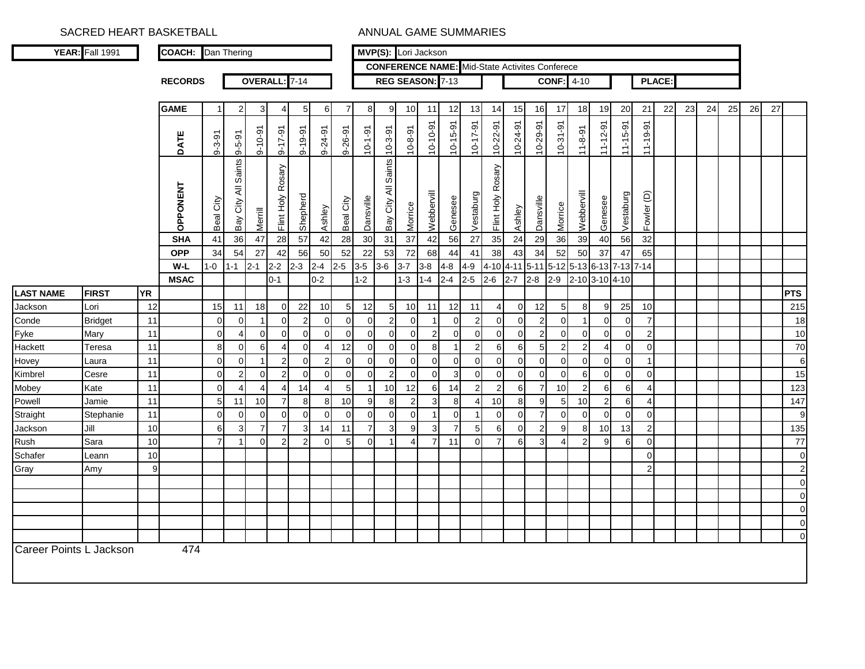|                             | YEAR: Fall 1991      |           | <b>COACH:</b>  | Dan Thering    |                         |                |                        |                  |                |                 |                |                        |                         | MVP(S): Lori Jackson |                |                                                       |                   |                |                |                |                |                |                |                 |               |    |    |    |    |    |                   |
|-----------------------------|----------------------|-----------|----------------|----------------|-------------------------|----------------|------------------------|------------------|----------------|-----------------|----------------|------------------------|-------------------------|----------------------|----------------|-------------------------------------------------------|-------------------|----------------|----------------|----------------|----------------|----------------|----------------|-----------------|---------------|----|----|----|----|----|-------------------|
|                             |                      |           |                |                |                         |                |                        |                  |                |                 |                |                        |                         |                      |                | <b>CONFERENCE NAME:</b> Mid-State Activites Conferece |                   |                |                |                |                |                |                |                 |               |    |    |    |    |    |                   |
|                             |                      |           | <b>RECORDS</b> |                |                         |                | OVERALL: 7-14          |                  |                |                 |                |                        |                         | REG SEASON: 7-13     |                |                                                       |                   |                |                | <b>CONF:</b>   | $4 - 10$       |                |                |                 | <b>PLACE:</b> |    |    |    |    |    |                   |
|                             |                      |           |                |                |                         |                |                        |                  |                |                 |                |                        |                         |                      |                |                                                       |                   |                |                |                |                |                |                |                 |               |    |    |    |    |    |                   |
|                             |                      |           | <b>GAME</b>    | 1              | $2 \,$                  | $\mathbf{3}$   | $\overline{4}$         | 5 <sub>5</sub>   | 6              | $\overline{7}$  | 8              | 9                      | 10                      | 11                   | 12             | 13                                                    | 14                | 15             | 16             | 17             | 18             | 19             | 20             | 21              | 22            | 23 | 24 | 25 | 26 | 27 |                   |
|                             |                      |           | DATE           | $9 - 3 - 91$   | $9 - 5 - 9$             | $9 - 10 - 91$  | $9 - 17 - 91$          | $9 - 19 - 91$    | $9 - 24 - 91$  | $9 - 26 - 91$   | $10 - 1 - 91$  | $10 - 3 - 91$          | $10 - 8 - 91$           | 10-10-91             | $10 - 15 - 91$ | $10 - 17 - 91$                                        | $10 - 22 - 91$    | $10 - 24 - 91$ | 10-29-91       | $10-31-91$     | $11 - 8 - 91$  | $11 - 12 - 91$ | $11 - 15 - 91$ | $11 - 19 - 91$  |               |    |    |    |    |    |                   |
|                             |                      |           | OPPONENT       | Beal City      | Saints<br>₹<br>Bay City | Merrill        | Rosary<br>Flint Holy F | Shepherd         | Ashley         | Beal City       | Dansville      | Saints<br>Bay City All | Morrice                 | Webbervill           | Genesee        | Vestaburg                                             | Flint Holy Rosary | Ashley         | Dansville      | Morrice        | Webbervill     | Genesee        | Vestaburg      | Fowler (D)      |               |    |    |    |    |    |                   |
|                             |                      |           | <b>SHA</b>     | 41             | 36                      | 47             | 28                     | 57               | 42             | 28              | 30             | 31                     | $\overline{37}$         | 42                   | 56             | $\overline{27}$                                       | 35                | 24             | 29             | 36             | 39             | 40             | 56             | 32              |               |    |    |    |    |    |                   |
|                             |                      |           | <b>OPP</b>     | 34             | 54                      | 27             | 42                     | 56               | 50             | 52              | 22             | 53                     | 72                      | 68                   | 44             | 41                                                    | 38                | 43             | 34             | 52             | 50             | 37             | 47             | 65              |               |    |    |    |    |    |                   |
|                             |                      |           | W-L            | $1 - 0$        | $1 - 1$                 | $2 - 1$        | $2 - 2$                | $2 - 3$          | $2 - 4$        | $2-5$           | $3-5$          | $3-6$                  | $3 - 7$                 | $3-8$                | $4 - 8$        | $4 - 9$                                               | 4-10 4-11         |                | $5 - 11$       | 5-12 5-13 6-13 |                |                | $7-13$ $7-14$  |                 |               |    |    |    |    |    |                   |
|                             |                      | <b>YR</b> | <b>MSAC</b>    |                |                         |                | $0 - 1$                |                  | $0 - 2$        |                 | $1 - 2$        |                        | $1 - 3$                 | $1 - 4$              | $2 - 4$        | $2 - 5$                                               | $2 - 6$           | $2 - 7$        | $2 - 8$        | $2 - 9$        |                | 2-10 3-10 4-10 |                |                 |               |    |    |    |    |    |                   |
| <b>LAST NAME</b><br>Jackson | <b>FIRST</b><br>Lori | 12        |                | 15             | 11                      | 18             | $\overline{0}$         | 22               | 10             | $5\overline{)}$ | 12             | $\mathbf 5$            | 10                      | 11                   | 12             | 11                                                    | $\overline{4}$    | $\overline{0}$ | 12             | 5              | 8              | 9              | 25             | 10 <sup>1</sup> |               |    |    |    |    |    | <b>PTS</b><br>215 |
| Conde                       | <b>Bridget</b>       | 11        |                | $\Omega$       | $\overline{0}$          | $\mathbf{1}$   | $\overline{0}$         | $\overline{2}$   | $\mathbf 0$    | $\overline{0}$  | $\overline{0}$ | $\boldsymbol{2}$       | $\Omega$                | $\overline{1}$       | $\Omega$       | $\overline{2}$                                        | $\Omega$          | $\Omega$       | $\overline{2}$ | $\Omega$       | $\overline{1}$ | $\Omega$       | $\Omega$       | $\overline{7}$  |               |    |    |    |    |    | 18                |
| Fyke                        | Mary                 | 11        |                | $\mathbf 0$    | $\overline{4}$          | $\overline{0}$ | $\overline{0}$         | $\overline{0}$   | $\mathbf 0$    | $\pmb{0}$       | $\mathbf{0}$   | $\pmb{0}$              | $\mathbf 0$             | $\overline{c}$       | $\mathbf 0$    | $\mathbf 0$                                           | $\mathbf 0$       | $\overline{0}$ | 2              | $\Omega$       | $\Omega$       | $\Omega$       | $\Omega$       | $\overline{2}$  |               |    |    |    |    |    | 10                |
| Hackett                     | Teresa               | 11        |                | 8              | $\overline{0}$          | 6              | $\overline{4}$         | $\overline{0}$   | $\overline{4}$ | 12              | $\mathbf{0}$   | $\mathbf 0$            | $\mathbf 0$             | 8                    | -1             | $\overline{2}$                                        | 6                 | 6              | 5              | 2              | 2              | Δ              | $\Omega$       | $\Omega$        |               |    |    |    |    |    | 70                |
| Hovey                       | Laura                | 11        |                | $\mathbf 0$    | $\overline{0}$          | $\mathbf{1}$   | $\overline{2}$         | $\overline{0}$   | $\overline{c}$ | $\overline{0}$  | $\mathbf 0$    | $\mathbf 0$            | $\mathbf 0$             | $\mathbf 0$          | $\mathbf 0$    | $\mathbf 0$                                           | $\overline{0}$    | $\mathbf 0$    | $\overline{0}$ | $\overline{0}$ | $\overline{0}$ | $\overline{0}$ | $\Omega$       | -1              |               |    |    |    |    |    | 6                 |
| Kimbrel                     | Cesre                | 11        |                | $\mathbf 0$    | $\overline{2}$          | $\mathbf 0$    | $\overline{2}$         | $\overline{0}$   | $\pmb{0}$      | $\overline{0}$  | $\overline{0}$ | $\overline{2}$         | $\mathbf 0$             | $\mathbf 0$          | 3              | $\mathbf 0$                                           | $\mathbf 0$       | $\overline{0}$ | $\overline{0}$ | $\overline{0}$ | 6              | $\Omega$       | $\Omega$       | $\overline{0}$  |               |    |    |    |    |    | 15                |
| Mobey                       | Kate                 | 11        |                | $\Omega$       | 4                       | $\overline{4}$ | $\overline{4}$         | 14               | $\overline{4}$ | 5               | $\mathbf{1}$   | 10                     | 12                      | 6                    | 14             | $\overline{2}$                                        | $\overline{2}$    | 6              | $\overline{7}$ | 10             | 2              | $6 \mid$       | 6              | 4               |               |    |    |    |    |    | 123               |
| Powell                      | Jamie                | 11        |                | 5              | 11                      | 10             | $\overline{7}$         | 8                | 8              | 10              | 9              | 8                      | $\overline{\mathbf{c}}$ | 3                    | 8              | $\overline{4}$                                        | 10                | 8              | 9              | 5              | 10             | 2              | 6              | 4               |               |    |    |    |    |    | 147               |
| Straight                    | Stephanie            | 11        |                | $\Omega$       | $\mathbf{0}$            | $\overline{0}$ | $\mathbf 0$            | $\overline{0}$   | $\mathbf 0$    | $\mathbf 0$     | $\overline{0}$ | $\mathbf 0$            | $\mathbf 0$             | $\overline{1}$       | $\Omega$       |                                                       | $\Omega$          | $\Omega$       | $\overline{7}$ | $\Omega$       | $\Omega$       | $\Omega$       | $\Omega$       | $\Omega$        |               |    |    |    |    |    | 9                 |
| Jackson                     | Jill                 | 10        |                | 6              | 3                       | $\overline{7}$ | $\overline{7}$         | 3                | 14             | 11              | $\overline{7}$ | 3                      | 9                       | 3                    | $\overline{7}$ | 5                                                     | 6                 | $\overline{0}$ | 2              | 9              | 8              | 10             | 13             | $\overline{2}$  |               |    |    |    |    |    | 135               |
| Rush                        | Sara                 | 10        |                | $\overline{7}$ | $\mathbf{1}$            | $\overline{0}$ | $\overline{2}$         | $2 \overline{2}$ | $\mathbf 0$    | 5 <sub>5</sub>  | $\mathbf 0$    | $\mathbf{1}$           | $\overline{4}$          | $\overline{7}$       | 11             | $\mathbf 0$                                           | $\overline{7}$    | 6              | 3              | 4              | $\overline{2}$ | 9              | 6              | $\overline{0}$  |               |    |    |    |    |    | 77                |
| Schafer                     | Leann                | 10        |                |                |                         |                |                        |                  |                |                 |                |                        |                         |                      |                |                                                       |                   |                |                |                |                |                |                | $\Omega$        |               |    |    |    |    |    | $\overline{0}$    |
| Gray                        | Amy                  | 9         |                |                |                         |                |                        |                  |                |                 |                |                        |                         |                      |                |                                                       |                   |                |                |                |                |                |                | $\mathfrak{p}$  |               |    |    |    |    |    | $\overline{2}$    |
|                             |                      |           |                |                |                         |                |                        |                  |                |                 |                |                        |                         |                      |                |                                                       |                   |                |                |                |                |                |                |                 |               |    |    |    |    |    | $\overline{0}$    |
|                             |                      |           |                |                |                         |                |                        |                  |                |                 |                |                        |                         |                      |                |                                                       |                   |                |                |                |                |                |                |                 |               |    |    |    |    |    | $\overline{0}$    |
|                             |                      |           |                |                |                         |                |                        |                  |                |                 |                |                        |                         |                      |                |                                                       |                   |                |                |                |                |                |                |                 |               |    |    |    |    |    | $\overline{0}$    |
|                             |                      |           |                |                |                         |                |                        |                  |                |                 |                |                        |                         |                      |                |                                                       |                   |                |                |                |                |                |                |                 |               |    |    |    |    |    | $\overline{0}$    |
|                             |                      |           |                |                |                         |                |                        |                  |                |                 |                |                        |                         |                      |                |                                                       |                   |                |                |                |                |                |                |                 |               |    |    |    |    |    | $\overline{O}$    |
| Career Points L Jackson     |                      |           | 474            |                |                         |                |                        |                  |                |                 |                |                        |                         |                      |                |                                                       |                   |                |                |                |                |                |                |                 |               |    |    |    |    |    |                   |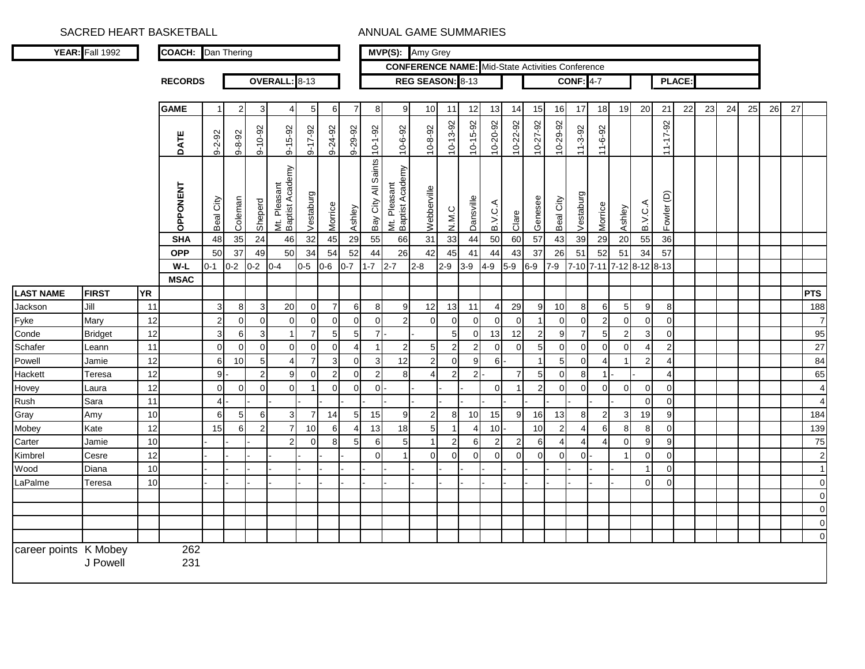|                       | YEAR: Fall 1992 |           | <b>COACH:</b> Dan Thering |                |                |                |                                 |                |                |                       |                         |                                 | MVP(S): Amy Grey                                        |                         |                  |                |                |                |                |                  |                          |                         |                       |                |               |    |    |    |    |    |                |
|-----------------------|-----------------|-----------|---------------------------|----------------|----------------|----------------|---------------------------------|----------------|----------------|-----------------------|-------------------------|---------------------------------|---------------------------------------------------------|-------------------------|------------------|----------------|----------------|----------------|----------------|------------------|--------------------------|-------------------------|-----------------------|----------------|---------------|----|----|----|----|----|----------------|
|                       |                 |           |                           |                |                |                |                                 |                |                |                       |                         |                                 | <b>CONFERENCE NAME:</b> Mid-State Activities Conference |                         |                  |                |                |                |                |                  |                          |                         |                       |                |               |    |    |    |    |    |                |
|                       |                 |           | <b>RECORDS</b>            |                |                |                | OVERALL: 8-13                   |                |                |                       |                         |                                 | REG SEASON: 8-13                                        |                         |                  |                |                |                |                | <b>CONF: 4-7</b> |                          |                         |                       |                | <b>PLACE:</b> |    |    |    |    |    |                |
|                       |                 |           |                           |                |                |                |                                 |                |                |                       |                         |                                 |                                                         |                         |                  |                |                |                |                |                  |                          |                         |                       |                |               |    |    |    |    |    |                |
|                       |                 |           | <b>GAME</b>               | $\overline{1}$ | $\overline{2}$ | 3              | 4                               | 5              | 6              | 7                     | 8                       | 9                               | 10                                                      | 11                      | 12               | 13             | 14             | 15             | 16             | 17               | 18                       | 19                      | 20                    | 21             | 22            | 23 | 24 | 25 | 26 | 27 |                |
|                       |                 |           | <b>DATE</b>               | $9 - 2 - 92$   | $9 - 8 - 92$   | $9 - 10 - 92$  | $9 - 15 - 92$                   | 9-17-92        | 9-24-92        | 9-29-92               | $10 - 1 - 92$           | $10 - 6 - 92$                   | $10 - 8 - 92$                                           | $10 - 13 - 92$          | 10-15-92         | 10-20-92       | 10-22-92       | 10-27-92       | 10-29-92       | $11 - 3 - 92$    | 11-6-92                  |                         |                       | 11-17-92       |               |    |    |    |    |    |                |
|                       |                 |           | OPPONENT                  | City<br>Beal   | Coleman        | Sheperd        | Mt. Pleasant<br>Baptist Academy | Vestaburg      | Morrice        | Ashley                | Saints<br>Bay City All  | Mt. Pleasant<br>Baptist Academy | Webberville                                             | N.M.C                   | Dansville        | B.V.C.         | Clare          | Genesee        | Beal City      | Vestaburg        | Morrice                  | Ashley                  | B.V.C.A               | Fowler (D)     |               |    |    |    |    |    |                |
|                       |                 |           | <b>SHA</b>                | 48             | 35             | 24             | 46                              | 32             | 45             | 29                    | 55                      | 66                              | 31                                                      | 33                      | 44               | 50             | 60             | 57             | 43             | 39               | 29                       | 20                      | 55                    | 36             |               |    |    |    |    |    |                |
|                       |                 |           | <b>OPP</b>                | 50             | 37             | 49             | 50                              | 34             | 54             | 52                    | 44                      | 26                              | 42                                                      | 45                      | 41               | 44             | 43             | 37             | 26             | 51               | 52                       | 51                      | 34                    | 57             |               |    |    |    |    |    |                |
|                       |                 |           | $W-L$                     | $0 - 1$        | $0-2$          | $0 - 2$        | $0 - 4$                         | $0 - 5$        | $0-6$          | $0 - 7$               | $1 - 7$                 | $2 - 7$                         | $2 - 8$                                                 | $2 - 9$                 | $3-9$            | 4-9            | $5-9$          | $6-9$          | $7-9$          |                  | 7-10 7-11 7-12 8-12 8-13 |                         |                       |                |               |    |    |    |    |    |                |
|                       |                 |           | <b>MSAC</b>               |                |                |                |                                 |                |                |                       |                         |                                 |                                                         |                         |                  |                |                |                |                |                  |                          |                         |                       |                |               |    |    |    |    |    |                |
| <b>LAST NAME</b>      | <b>FIRST</b>    | <b>YR</b> |                           |                |                |                |                                 |                |                |                       |                         |                                 |                                                         |                         |                  |                |                |                |                |                  |                          |                         |                       |                |               |    |    |    |    |    | <b>PTS</b>     |
| Jackson               | Jill            | 11        |                           | 3              | 8              | 3              | 20                              | $\overline{0}$ | $\overline{7}$ | 6                     | 8                       | 9                               | 12                                                      | 13                      | 11               | $\overline{4}$ | 29             | 9              | 10             | 8                | $6 \mid$                 | 5 <sub>5</sub>          | 9                     | 8              |               |    |    |    |    |    | 188            |
| Fyke                  | Mary            | 12        |                           | $\overline{c}$ | $\pmb{0}$      | $\pmb{0}$      | $\Omega$                        | $\Omega$       | $\mathbf 0$    | $\mathbf 0$           | $\mathbf 0$             | $\overline{2}$                  | $\mathbf 0$                                             | $\pmb{0}$               | $\mathbf 0$      | $\mathbf 0$    | $\overline{0}$ | $\mathbf{1}$   | $\Omega$       | $\Omega$         | 2                        | $\Omega$                | $\Omega$              | $\Omega$       |               |    |    |    |    |    | $\overline{7}$ |
| Conde                 | <b>Bridget</b>  | 12        |                           | 3              | 6              | 3              | $\overline{1}$                  | $\overline{7}$ | 5              | 5                     | $\overline{7}$          |                                 |                                                         | 5                       | $\mathbf 0$      | 13             | 12             | $\overline{2}$ | 9              | $\overline{7}$   | 5 <sub>l</sub>           | $\overline{2}$          | $\mathbf{3}$          | $\overline{0}$ |               |    |    |    |    |    | 95             |
| Schafer               | Leann           | 11        |                           | $\mathbf 0$    | 0              | $\mathbf 0$    | $\mathbf 0$                     | $\mathbf 0$    | 0              | $\boldsymbol{\Delta}$ | 1                       | $\overline{c}$                  | 5                                                       | $\overline{\mathbf{c}}$ | $\boldsymbol{2}$ | $\mathbf 0$    | $\overline{0}$ | 5 <sub>l</sub> | $\mathbf 0$    | $\overline{0}$   | $\overline{0}$           | $\overline{0}$          | $\boldsymbol{\Delta}$ | $\overline{c}$ |               |    |    |    |    |    | 27             |
| Powell                | Jamie           | 12        |                           | 6              | 10             | 5              | $\overline{4}$                  | $\overline{7}$ | 3              | $\mathbf 0$           | 3                       | 12                              | $\overline{2}$                                          | $\mathbf 0$             | 9                | 6              |                | $\overline{1}$ | 5              | $\overline{0}$   | 4                        | $\overline{\mathbf{1}}$ | 2                     | $\overline{4}$ |               |    |    |    |    |    | 84             |
| Hackett               | Teresa          | 12        |                           | 9              |                | $\overline{2}$ | 9                               | $\overline{0}$ | $\overline{2}$ | $\mathbf 0$           | $\overline{\mathbf{c}}$ | 8                               | $\boldsymbol{\Delta}$                                   | $\overline{2}$          | $\boldsymbol{2}$ |                | $\overline{7}$ | 5 <sub>l</sub> | $\overline{0}$ | 8                | $\mathbf{1}$             |                         |                       | 4 <sup>1</sup> |               |    |    |    |    |    | 65             |
| Hovey                 | Laura           | 12        |                           | $\mathbf 0$    | $\mathbf 0$    | $\mathbf 0$    | $\Omega$                        |                | $\mathbf 0$    | $\mathbf 0$           | $\mathbf 0$             |                                 |                                                         |                         |                  | $\Omega$       |                | $\overline{2}$ | $\Omega$       | $\Omega$         | $\overline{0}$           | $\Omega$                | $\overline{0}$        | $\mathbf 0$    |               |    |    |    |    |    | $\overline{4}$ |
| Rush                  | Sara            | 11        |                           | $\overline{4}$ |                |                |                                 |                |                |                       |                         |                                 |                                                         |                         |                  |                |                |                |                |                  |                          |                         | $\Omega$              | $\mathbf 0$    |               |    |    |    |    |    | $\overline{4}$ |
| Gray                  | Amy             | 10        |                           | 6              | 5              | 6              | $\sqrt{3}$                      | $\overline{7}$ | 14             | 5                     | 15                      | $\boldsymbol{9}$                | $\overline{2}$                                          | $\bf8$                  | 10               | 15             | 9              | 16             | 13             | 8                | $\mathbf{2}$             | $\mathbf{3}$            | 19                    | $\overline{9}$ |               |    |    |    |    |    | 184            |
| Mobey                 | Kate            | 12        |                           | 15             | 6              | $\overline{a}$ | $\overline{7}$                  | 10             | 6              | $\overline{4}$        | 13                      | 18                              | $\overline{5}$                                          | $\overline{1}$          | 4                | 10             |                | 10             | $2 \vert$      | $\overline{4}$   | 6I                       | 8 <sup>1</sup>          | 8                     | $\mathbf 0$    |               |    |    |    |    |    | 139            |
| Carter                | Jamie           | 10        |                           |                |                |                | $\overline{2}$                  | $\Omega$       | 8              | 5                     | 6                       | $\overline{5}$                  | 1                                                       | $\overline{2}$          | 6                | $\overline{2}$ | $\overline{2}$ | 6              | 4              | $\overline{4}$   | Δ                        | $\Omega$                | 9                     | $\overline{9}$ |               |    |    |    |    |    | 75             |
| Kimbrel               | Cesre           | 12        |                           |                |                |                |                                 |                |                |                       | $\Omega$                | $\mathbf 1$                     | $\mathbf 0$                                             | $\mathbf 0$             | $\mathbf 0$      | $\Omega$       | $\overline{0}$ | $\Omega$       | $\Omega$       | $\Omega$         |                          | -1                      | $\overline{0}$        | $\overline{0}$ |               |    |    |    |    |    | $\overline{c}$ |
| Wood                  | Diana           | 10        |                           |                |                |                |                                 |                |                |                       |                         |                                 |                                                         |                         |                  |                |                |                |                |                  |                          |                         |                       | $\Omega$       |               |    |    |    |    |    | $\overline{1}$ |
| LaPalme               | Teresa          | 10        |                           |                |                |                |                                 |                |                |                       |                         |                                 |                                                         |                         |                  |                |                |                |                |                  |                          |                         | $\Omega$              | $\Omega$       |               |    |    |    |    |    | $\pmb{0}$      |
|                       |                 |           |                           |                |                |                |                                 |                |                |                       |                         |                                 |                                                         |                         |                  |                |                |                |                |                  |                          |                         |                       |                |               |    |    |    |    |    | $\mathbf 0$    |
|                       |                 |           |                           |                |                |                |                                 |                |                |                       |                         |                                 |                                                         |                         |                  |                |                |                |                |                  |                          |                         |                       |                |               |    |    |    |    |    | $\pmb{0}$      |
|                       |                 |           |                           |                |                |                |                                 |                |                |                       |                         |                                 |                                                         |                         |                  |                |                |                |                |                  |                          |                         |                       |                |               |    |    |    |    |    | $\overline{0}$ |
|                       |                 |           |                           |                |                |                |                                 |                |                |                       |                         |                                 |                                                         |                         |                  |                |                |                |                |                  |                          |                         |                       |                |               |    |    |    |    |    | $\overline{0}$ |
| career points K Mobey | J Powell        |           | 262<br>231                |                |                |                |                                 |                |                |                       |                         |                                 |                                                         |                         |                  |                |                |                |                |                  |                          |                         |                       |                |               |    |    |    |    |    |                |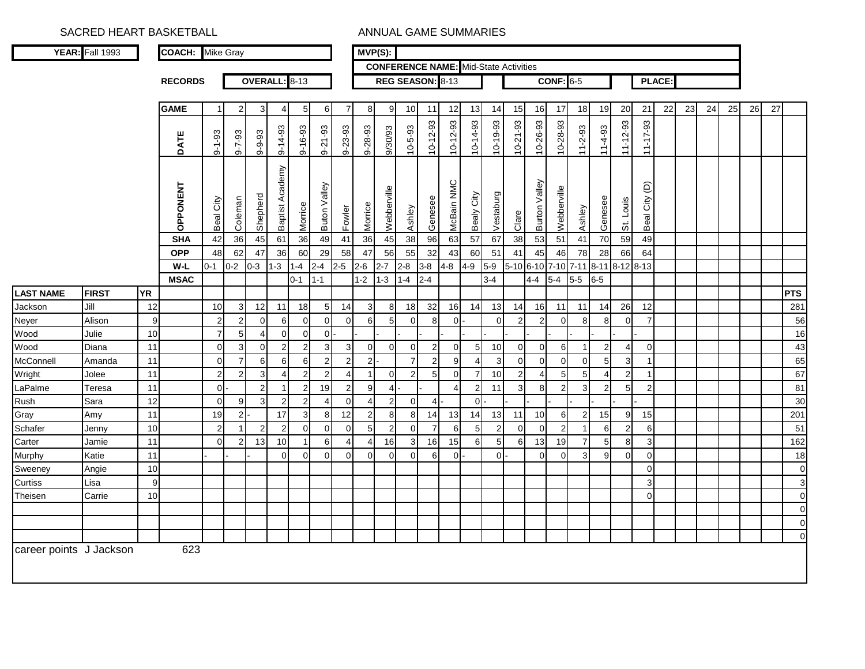|                         | YEAR: Fall 1993 |           | <b>COACH:</b>  | <b>Mike Gray</b> |                |                |                 |                  |                |                | $MVP(S)$ :              |                |                |                                              |                       |                 |                |                |                          |                |                |                |                 |                |        |    |    |    |    |    |                |
|-------------------------|-----------------|-----------|----------------|------------------|----------------|----------------|-----------------|------------------|----------------|----------------|-------------------------|----------------|----------------|----------------------------------------------|-----------------------|-----------------|----------------|----------------|--------------------------|----------------|----------------|----------------|-----------------|----------------|--------|----|----|----|----|----|----------------|
|                         |                 |           |                |                  |                |                |                 |                  |                |                |                         |                |                | <b>CONFERENCE NAME:</b> Mid-State Activities |                       |                 |                |                |                          |                |                |                |                 |                |        |    |    |    |    |    |                |
|                         |                 |           | <b>RECORDS</b> |                  |                |                | OVERALL: 8-13   |                  |                |                |                         |                |                | REG SEASON: 8-13                             |                       |                 |                |                |                          | $CONF: 6-5$    |                |                |                 |                | PLACE: |    |    |    |    |    |                |
|                         |                 |           |                |                  |                |                |                 |                  |                |                |                         |                |                |                                              |                       |                 |                |                |                          |                |                |                |                 |                |        |    |    |    |    |    |                |
|                         |                 |           | <b>GAME</b>    | $\mathbf{1}$     | $\overline{2}$ | 3              | 4               | 5 <sub>l</sub>   | 6              | $\overline{7}$ | 8                       | 9              | 10             | 11                                           | 12                    | 13              | 14             | 15             | 16                       | 17             | 18             | 19             | 20              | 21             | 22     | 23 | 24 | 25 | 26 | 27 |                |
|                         |                 |           |                |                  |                |                |                 |                  |                |                |                         |                |                |                                              |                       |                 |                |                |                          |                |                |                |                 |                |        |    |    |    |    |    |                |
|                         |                 |           | DATE           | $9 - 1 - 93$     | $9 - 7 - 93$   | $9 - 9 - 93$   |                 | 9-16-93          | $9 - 21 - 93$  | $9 - 23 - 93$  | 9-28-93                 | 9/30/93        | $10 - 5 - 93$  | $10 - 12 - 93$                               | $10 - 12 - 93$        | $10 - 14 - 93$  | $10 - 19 - 93$ | $10 - 21 - 93$ | 10-26-93                 | 10-28-93       | $11 - 2 - 93$  | $11-4-93$      |                 | $11 - 17 - 93$ |        |    |    |    |    |    |                |
|                         |                 |           |                |                  |                |                | 9-14-93         |                  |                |                |                         |                |                |                                              |                       |                 |                |                |                          |                |                |                | $11 - 12 - 93$  |                |        |    |    |    |    |    |                |
|                         |                 |           |                |                  |                |                |                 |                  |                |                |                         |                |                |                                              |                       |                 |                |                |                          |                |                |                |                 |                |        |    |    |    |    |    |                |
|                         |                 |           |                |                  |                |                |                 |                  |                |                |                         |                |                |                                              |                       |                 |                |                |                          |                |                |                |                 |                |        |    |    |    |    |    |                |
|                         |                 |           |                |                  |                |                |                 |                  |                |                |                         |                |                |                                              |                       |                 |                |                |                          |                |                |                |                 | $\widehat{e}$  |        |    |    |    |    |    |                |
|                         |                 |           |                |                  |                |                |                 |                  |                |                |                         |                |                |                                              |                       |                 |                |                |                          |                |                |                |                 |                |        |    |    |    |    |    |                |
|                         |                 |           | OPPONENT       | Beal City        | Coleman        | Shepherd       | Baptist Academy | Morrice          | Buton Valley   | Fowler         | Morrice                 | Webberville    | Ashley         | Genesee                                      | McBain NMC            | Bealy City      | Vestaburg      | Clare          | Burton Valley            | Webberville    | Ashley         | Genesee        | St. Louis       | Beal City      |        |    |    |    |    |    |                |
|                         |                 |           | <b>SHA</b>     | 42               | 36             | 45             | 61              | 36               | 49             | 41             | 36                      | 45             | 38             | 96                                           | 63                    | 57              | 67             | 38             | 53                       | 51             | 41             | 70             | 59              | 49             |        |    |    |    |    |    |                |
|                         |                 |           | <b>OPP</b>     | 48               | 62             | 47             | 36              | 60               | 29             | 58             | 47                      | 56             | 55             | 32                                           | 43                    | 60              | 51             | 41             | 45                       | 46             | 78             | 28             | 66              | 64             |        |    |    |    |    |    |                |
|                         |                 |           | W-L            | $0 - 1$          | $0-2$          | $0 - 3$        | $1 - 3$         | $1 - 4$          | $2 - 4$        | $2 - 5$        | $2 - 6$                 | $2 - 7$        | $2 - 8$        | $3 - 8$                                      | $4 - 8$               | $4 - 9$         | $5-9$          | $5-10$ 6-10    |                          | $7 - 10$       | $7 - 11$       | $8 - 11$       | 8-12 8-13       |                |        |    |    |    |    |    |                |
|                         |                 |           | <b>MSAC</b>    |                  |                |                |                 | $0 - 1$          | $1 - 1$        |                | $1 - 2$                 | $1 - 3$        | 1-4            | $2 - 4$                                      |                       |                 | $3 - 4$        |                | 4-4                      | $5-4$          | $5-5$          | $6-5$          |                 |                |        |    |    |    |    |    |                |
| <b>LAST NAME</b>        | <b>FIRST</b>    | <b>YR</b> |                |                  |                |                |                 |                  |                |                |                         |                |                |                                              |                       |                 |                |                |                          |                |                |                |                 |                |        |    |    |    |    |    | PTS            |
| Jackson                 | Jill            | 12        |                | 10               | 3              | 12             | 11              | 18               | 5 <sub>5</sub> | 14             | 3                       | 8              | 18             | 32                                           | 16                    | 14              | 13             | 14             | 16                       | 11             | 11             | 14             | 26              | 12             |        |    |    |    |    |    | 281            |
| Neyer                   | Alison          | 9         |                | $\overline{2}$   | $\overline{2}$ | $\overline{0}$ | 6               | $\overline{0}$   | $\overline{0}$ | $\mathbf 0$    | 6                       | 5              | $\mathbf 0$    | 8                                            | $\mathbf 0$           |                 | $\Omega$       | $\overline{2}$ | $\overline{c}$           | $\Omega$       | 8              | 8              | $\Omega$        | 7              |        |    |    |    |    |    | 56             |
| Wood                    | Julie           | 10        |                | $\overline{7}$   | 5              | 4              | $\Omega$        | $\overline{0}$   | $\overline{0}$ |                |                         |                |                |                                              |                       |                 |                |                |                          |                |                |                |                 |                |        |    |    |    |    |    | 16             |
| Wood                    | Diana           | 11        |                | $\overline{0}$   | 3              | $\mathbf 0$    | $\overline{2}$  | $2 \overline{ }$ | $\mathbf{3}$   | $\mathbf{3}$   | $\overline{0}$          | $\mathbf 0$    | $\mathbf 0$    | $\overline{c}$                               | $\mathbf 0$           | 5               | 10             | $\mathbf 0$    | $\mathbf 0$              | 6              | -1             | 2              | 4               | $\mathbf 0$    |        |    |    |    |    |    | 43             |
| McConnell               | Amanda          | 11        |                | $\Omega$         | $\overline{7}$ | $6 \mid$       | $6 \mid$        | $\,$ 6 $\,$      | $\mathbf{2}$   | $\overline{2}$ | $\overline{2}$          |                | $\overline{7}$ | $\overline{2}$                               | 9                     | 4               | 3              | $\overline{0}$ | $\overline{0}$           | $\Omega$       | $\Omega$       | 5              | 3               | -1             |        |    |    |    |    |    | 65             |
| Wright                  | Jolee           | 11        |                | $\overline{2}$   | 2              | 3              | Δ               | $2 \overline{ }$ | $\overline{2}$ | $\overline{4}$ | $\overline{\mathbf{1}}$ | $\mathbf 0$    | $\overline{2}$ | 5                                            | $\mathbf 0$           | $\overline{7}$  | 10             | $\overline{2}$ | $\overline{\mathcal{L}}$ | 5              | 5              |                | 2               |                |        |    |    |    |    |    | 67             |
| LaPalme                 | Teresa          | 11        |                | $\Omega$         |                | $\overline{2}$ |                 | 2                | 19             | $\overline{2}$ | 9                       | $\overline{4}$ |                |                                              | $\boldsymbol{\Delta}$ | $\overline{2}$  | 11             | 3              | 8                        | $\overline{2}$ | 3              | $\overline{2}$ | $5\overline{5}$ | $\overline{2}$ |        |    |    |    |    |    | 81             |
| Rush                    | Sara            | 12        |                | $\Omega$         | 9              | 3              | $\overline{2}$  | $\overline{2}$   | $\overline{4}$ | $\mathbf 0$    | $\overline{4}$          | $\sqrt{2}$     | $\mathbf 0$    | $\overline{4}$                               |                       | $\Omega$        |                |                |                          |                |                |                |                 |                |        |    |    |    |    |    | 30             |
| Gray                    | Amy             | 11        |                | 19               | $\overline{2}$ |                | 17              | $\mathbf{3}$     | 8              | 12             | $\overline{a}$          | 8              | 8              | 14                                           | 13                    | 14              | 13             | 11             | 10                       | 6              | $\overline{2}$ | 15             | 9               | 15             |        |    |    |    |    |    | 201            |
| Schafer                 | Jenny           | 10        |                | $\overline{2}$   |                | $\overline{2}$ | $\overline{2}$  | $\overline{0}$   | $\mathbf 0$    | $\mathbf 0$    | 5                       | $\overline{2}$ | $\mathbf 0$    | $\overline{7}$                               | 6                     | 5               | $\overline{2}$ | $\mathbf 0$    | $\overline{0}$           | $\overline{2}$ | $\overline{1}$ | 6              | $\overline{2}$  | 6              |        |    |    |    |    |    | 51             |
| Carter                  | Jamie           | 11        |                | $\Omega$         | $\overline{2}$ | 13             | 10              | 1                | 6              | $\overline{4}$ | 4                       | 16             | $\mathbf{3}$   | 16                                           | 15                    | $6\phantom{1}6$ | 5              | 6              | 13                       | 19             | $\overline{7}$ | 5              | 8               | 3              |        |    |    |    |    |    | 162            |
| Murphy                  | Katie           | 11        |                |                  |                |                | $\Omega$        | $\overline{0}$   | $\mathbf{0}$   | 0              | $\Omega$                | $\mathbf 0$    | $\mathbf 0$    | 6                                            | $\mathbf 0$           |                 | $\mathbf 0$    |                | $\Omega$                 | $\Omega$       | Э              | 9              | $\Omega$        | $\overline{0}$ |        |    |    |    |    |    | 18             |
| Sweeney                 | Angie           | 10        |                |                  |                |                |                 |                  |                |                |                         |                |                |                                              |                       |                 |                |                |                          |                |                |                |                 | $\Omega$       |        |    |    |    |    |    | $\overline{0}$ |
| Curtiss                 | Lisa            | 9         |                |                  |                |                |                 |                  |                |                |                         |                |                |                                              |                       |                 |                |                |                          |                |                |                |                 | 3              |        |    |    |    |    |    | $\mathbf 3$    |
| Theisen                 | Carrie          | 10        |                |                  |                |                |                 |                  |                |                |                         |                |                |                                              |                       |                 |                |                |                          |                |                |                |                 | $\Omega$       |        |    |    |    |    |    | $\overline{0}$ |
|                         |                 |           |                |                  |                |                |                 |                  |                |                |                         |                |                |                                              |                       |                 |                |                |                          |                |                |                |                 |                |        |    |    |    |    |    | $\Omega$       |
|                         |                 |           |                |                  |                |                |                 |                  |                |                |                         |                |                |                                              |                       |                 |                |                |                          |                |                |                |                 |                |        |    |    |    |    |    | $\overline{0}$ |
|                         |                 |           |                |                  |                |                |                 |                  |                |                |                         |                |                |                                              |                       |                 |                |                |                          |                |                |                |                 |                |        |    |    |    |    |    | $\mathbf 0$    |
| career points J Jackson |                 |           | 623            |                  |                |                |                 |                  |                |                |                         |                |                |                                              |                       |                 |                |                |                          |                |                |                |                 |                |        |    |    |    |    |    |                |
|                         |                 |           |                |                  |                |                |                 |                  |                |                |                         |                |                |                                              |                       |                 |                |                |                          |                |                |                |                 |                |        |    |    |    |    |    |                |
|                         |                 |           |                |                  |                |                |                 |                  |                |                |                         |                |                |                                              |                       |                 |                |                |                          |                |                |                |                 |                |        |    |    |    |    |    |                |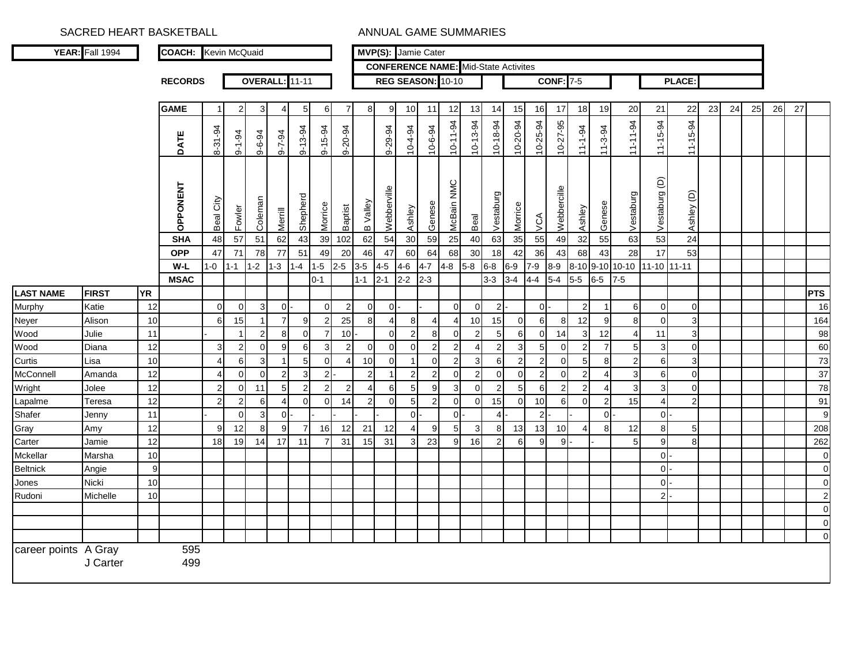|                      | YEAR: Fall 1994 |           | <b>COACH:</b> Kevin McQuaid |               |                 |                      |                       |                |                                  |                  |                       | MVP(S): Jamie Cater |                                  |                |                                             |                      |                       |                     |                                |                  |                |                |                     |                      |                                |    |    |    |    |    |                 |
|----------------------|-----------------|-----------|-----------------------------|---------------|-----------------|----------------------|-----------------------|----------------|----------------------------------|------------------|-----------------------|---------------------|----------------------------------|----------------|---------------------------------------------|----------------------|-----------------------|---------------------|--------------------------------|------------------|----------------|----------------|---------------------|----------------------|--------------------------------|----|----|----|----|----|-----------------|
|                      |                 |           |                             |               |                 |                      |                       |                |                                  |                  |                       |                     |                                  |                | <b>CONFERENCE NAME:</b> Mid-State Activites |                      |                       |                     |                                |                  |                |                |                     |                      |                                |    |    |    |    |    |                 |
|                      |                 |           | <b>RECORDS</b>              |               |                 |                      | <b>OVERALL:</b> 11-11 |                |                                  |                  |                       |                     |                                  |                | REG SEASON: 10-10                           |                      |                       |                     |                                | <b>CONF: 7-5</b> |                |                |                     |                      | <b>PLACE:</b>                  |    |    |    |    |    |                 |
|                      |                 |           |                             |               |                 |                      |                       |                |                                  |                  |                       |                     |                                  |                |                                             |                      |                       |                     |                                |                  |                |                |                     |                      |                                |    |    |    |    |    |                 |
|                      |                 |           | <b>GAME</b>                 | -1            | 2               | 3                    | 4                     | 5              | 6                                | $\overline{7}$   | 8                     | 9                   | 10 <sup>1</sup>                  | 11             | 12                                          | 13                   | 14                    | 15                  | 16                             | 17               | 18             | 19             | 20                  | 21                   | 22                             | 23 | 24 | 25 | 26 | 27 |                 |
|                      |                 |           | DATE                        | 8-31-94       | $9 - 1 - 94$    | $9 - 6 - 94$         | $9 - 7 - 94$          | $9 - 13 - 94$  | $9 - 15 - 94$                    | $9 - 20 - 94$    |                       | $9 - 29 - 94$       | $10 - 4 - 94$                    | $10 - 6 - 94$  | 10-11-94                                    | $10-13-94$           | $10-18-94$            | 10-20-94            | $10 - 25 - 94$                 | $10 - 27 - 95$   | $11 - 1 - 94$  | $11 - 3 - 94$  | $11 - 11 - 94$      | $11 - 15 - 94$       | $11 - 15 - 94$                 |    |    |    |    |    |                 |
|                      |                 |           | OPPONENT                    | Beal City     | Fowler          | Coleman              | Merrill               | Shepherd       | Morrice                          | <b>Baptist</b>   | B Valley              | Webberville         | Ashley                           | Genese         | McBain NMC                                  | Beal                 | Vestaburg             | Morrice             | VCA                            | Webbercille      | Ashley         | Genese         | Vestaburg           | Vestaburg (D)        | Ashley (D)                     |    |    |    |    |    |                 |
|                      |                 |           | <b>SHA</b>                  | 48            | $\overline{57}$ | 51                   | 62                    | 43             | 39                               | 102              | 62                    | 54                  | 30                               | 59             | 25                                          | 40                   | 63                    | 35                  | 55                             | 49               | 32             | 55             | 63                  | 53                   | 24                             |    |    |    |    |    |                 |
|                      |                 |           | <b>OPP</b>                  | 47            | 71              | 78                   | 77                    | 51             | 49                               | 20               | 46                    | 47                  | 60                               | 64             | 68                                          | 30                   | 18                    | 42                  | 36                             | 43               | 68             | 43             | 28                  | 17                   | 53                             |    |    |    |    |    |                 |
|                      |                 |           | W-L                         | $1-0$         | $1 - 1$         | $1 - 2$              | $1 - 3$               | $1 - 4$        | $1-5$                            | $2 - 5$          | $3-5$                 | $4 - 5$             | $4-6$                            | $4 - 7$        | $4 - 8$                                     | $5-8$                | $6 - 8$               | $6-9$               | $7 - 9$                        | $8 - 9$          |                |                | 8-10 9-10 10-10     | 11-10 11-11          |                                |    |    |    |    |    |                 |
|                      |                 |           | <b>MSAC</b>                 |               |                 |                      |                       |                | $0 - 1$                          |                  | $1 - 1$               | $2 - 1$             | $2 - 2$                          | $2-3$          |                                             |                      | $3 - 3$               | $3-4$               | $4 - 4$                        | $5-4$            | $5-5$          | $6-5$          | $7-5$               |                      |                                |    |    |    |    |    |                 |
| <b>LAST NAME</b>     | <b>FIRST</b>    | <b>YR</b> |                             |               |                 |                      |                       |                |                                  |                  |                       |                     |                                  |                |                                             |                      |                       |                     |                                |                  |                |                |                     |                      |                                |    |    |    |    |    | <b>PTS</b>      |
| Murphy               | Katie           | 12        |                             | $\Omega$      | $\overline{0}$  | $\overline{3}$       | $\overline{0}$        |                | $\overline{0}$                   | $\boldsymbol{2}$ | $\mathbf 0$           | $0$ .               |                                  |                | $\overline{0}$                              | $\circ$              | $\overline{2}$        |                     | $\overline{0}$                 |                  | $\overline{c}$ |                | 6                   | $\mathbf 0$          | $\overline{0}$                 |    |    |    |    |    | 16              |
| Neyer<br>Wood        | Alison<br>Julie | 10<br>11  |                             | 6             | 15              | -1<br>$\overline{2}$ | $\overline{7}$<br>8   | 9<br>$\Omega$  | $\overline{2}$<br>$\overline{7}$ | 25<br>10         | 8                     | 4<br>$\overline{0}$ | 8 <sup>1</sup><br>$\overline{2}$ | 4<br>8         | $\overline{4}$<br>$\overline{0}$            | 10<br>$\overline{2}$ | 15<br>$5\overline{)}$ | $\overline{0}$<br>6 | $6\phantom{1}6$<br>$\mathbf 0$ | 8<br>14          | 12<br>3        | 9<br>12        | 8<br>$\overline{4}$ | $\overline{0}$<br>11 | $\mathbf{3}$<br>$\overline{3}$ |    |    |    |    |    | 164<br>98       |
| Wood                 | Diana           | 12        |                             |               | 2               | $\Omega$             | 9                     | 6              | 3                                | $\overline{2}$   | $\overline{0}$        | $\mathbf 0$         | $\Omega$                         | $\mathcal{P}$  | $\overline{2}$                              | 4                    | $\overline{2}$        | $\mathbf{3}$        | 5                              | $\mathbf 0$      | 2              | $\overline{7}$ | 5                   | $\mathsf 3$          | $\overline{0}$                 |    |    |    |    |    | 60              |
| Curtis               | Lisa            | 10        |                             |               | 6               | 3                    |                       | 5              | $\mathbf 0$                      | 4                | 10                    | $\mathbf 0$         | $\mathbf{1}$                     | $\Omega$       | 2                                           | $\mathbf{3}$         | 6                     | 2                   | $\overline{2}$                 | $\mathbf 0$      | 5 <sub>l</sub> | 8 <sup>1</sup> | $\overline{2}$      | $\,$ 6 $\,$          | $\overline{3}$                 |    |    |    |    |    | 73              |
| McConnell            | Amanda          | 12        |                             |               | $\Omega$        | $\Omega$             | $\overline{2}$        | 3              | $\overline{2}$                   |                  | $\overline{c}$        |                     | $\overline{2}$                   | $\overline{2}$ | $\Omega$                                    | $\mathbf{2}$         | $\mathbf 0$           | $\mathbf 0$         | $\overline{2}$                 | 0                | $\overline{2}$ | 4              | 3                   | 6                    | $\Omega$                       |    |    |    |    |    | $\overline{37}$ |
| Wright               | Jolee           | 12        |                             |               | 0               | 11                   | 5                     | $\overline{2}$ | $\overline{2}$                   | $\overline{2}$   | $\boldsymbol{\Delta}$ | 6                   | 5 <sub>l</sub>                   | 9              | $\mathbf{3}$                                | $\overline{0}$       | $\overline{c}$        | 5                   | 6                              | $\overline{c}$   | $\overline{2}$ |                | 3                   | $\mathsf 3$          | $\overline{0}$                 |    |    |    |    |    | 78              |
| Lapalme              | Teresa          | 12        |                             | $\mathcal{P}$ | 2               | 6                    | $\overline{4}$        | $\mathbf 0$    | $\overline{0}$                   | 14               | $\overline{2}$        | $\mathbf 0$         | 5 <sub>l</sub>                   | $\overline{2}$ | $\overline{0}$                              | $\overline{0}$       | 15                    | $\overline{0}$      | 10                             | 6                | $\overline{0}$ | $\mathbf{2}$   | 15                  | $\overline{4}$       | $\overline{2}$                 |    |    |    |    |    | 91              |
| Shafer               | Jenny           | 11        |                             |               | $\Omega$        | 3                    | $\overline{0}$        |                |                                  |                  |                       |                     | ol                               |                | $\overline{0}$                              |                      | $\overline{4}$        |                     | $\overline{2}$                 |                  |                | $\overline{0}$ |                     | $\overline{0}$       |                                |    |    |    |    |    | 9               |
| Gray                 | Amy             | 12        |                             | q             | 12              | 8                    | 9                     | $\overline{7}$ | 16                               | 12               | 21                    | 12                  | $\overline{4}$                   | 9              | 5 <sup>1</sup>                              | $\mathbf{3}$         | 8                     | 13                  | 13                             | 10               | 4              | 8              | 12                  | 8                    | 5 <sub>l</sub>                 |    |    |    |    |    | 208             |
| Carter               | Jamie           | 12        |                             | 18            | 19              | 14                   | 17                    | 11             | 7                                | 31               | 15                    | 31                  | $\mathbf{3}$                     | 23             | 9 <sub>l</sub>                              | 16                   | $\overline{2}$        | 6                   | 9                              | 9                |                |                | 5                   | 9                    | 8                              |    |    |    |    |    | 262             |
| Mckellar             | Marsha          | 10        |                             |               |                 |                      |                       |                |                                  |                  |                       |                     |                                  |                |                                             |                      |                       |                     |                                |                  |                |                |                     | $\overline{0}$       |                                |    |    |    |    |    | $\Omega$        |
| Beltnick             | Angie           | 9         |                             |               |                 |                      |                       |                |                                  |                  |                       |                     |                                  |                |                                             |                      |                       |                     |                                |                  |                |                |                     | $\mathbf 0$          |                                |    |    |    |    |    | $\mathbf 0$     |
| Jones                | Nicki           | 10        |                             |               |                 |                      |                       |                |                                  |                  |                       |                     |                                  |                |                                             |                      |                       |                     |                                |                  |                |                |                     | $\mathbf 0$          |                                |    |    |    |    |    | $\mathbf 0$     |
| Rudoni               | Michelle        | 10        |                             |               |                 |                      |                       |                |                                  |                  |                       |                     |                                  |                |                                             |                      |                       |                     |                                |                  |                |                |                     | $\overline{2}$       |                                |    |    |    |    |    | $\overline{2}$  |
|                      |                 |           |                             |               |                 |                      |                       |                |                                  |                  |                       |                     |                                  |                |                                             |                      |                       |                     |                                |                  |                |                |                     |                      |                                |    |    |    |    |    | $\mathbf 0$     |
|                      |                 |           |                             |               |                 |                      |                       |                |                                  |                  |                       |                     |                                  |                |                                             |                      |                       |                     |                                |                  |                |                |                     |                      |                                |    |    |    |    |    | 0               |
|                      |                 |           |                             |               |                 |                      |                       |                |                                  |                  |                       |                     |                                  |                |                                             |                      |                       |                     |                                |                  |                |                |                     |                      |                                |    |    |    |    |    | $\Omega$        |
| career points A Gray | J Carter        |           | 595<br>499                  |               |                 |                      |                       |                |                                  |                  |                       |                     |                                  |                |                                             |                      |                       |                     |                                |                  |                |                |                     |                      |                                |    |    |    |    |    |                 |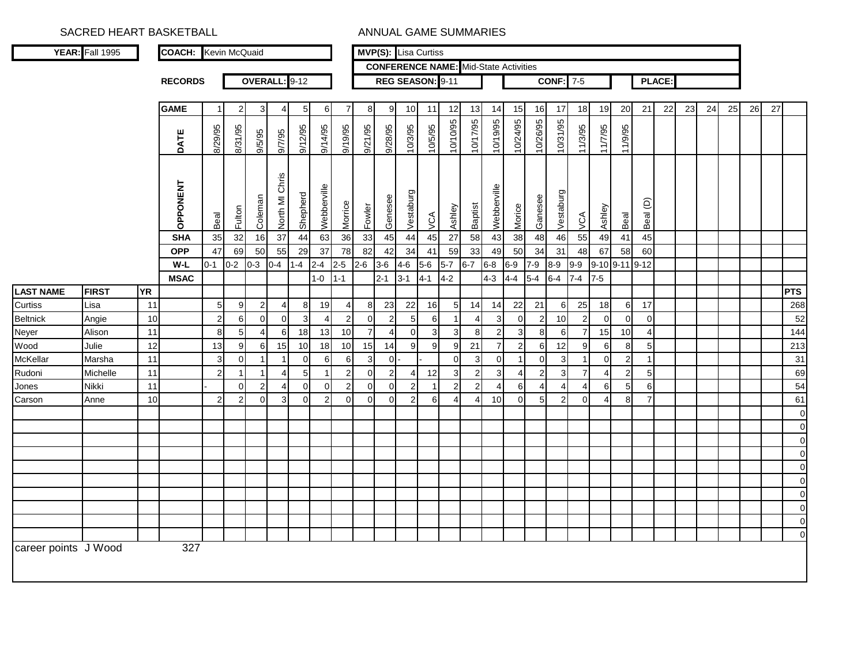|                      | <b>YEAR:</b> Fall 1995 |           | <b>COACH:</b> Kevin McQuaid |                |                  |                |                 |                |                |                |                |                |                | <b>MVP(S):</b> Lisa Curtiss                  |                 |                       |                |                          |                |                |                |                       |                  |                 |               |    |    |    |    |    |                            |
|----------------------|------------------------|-----------|-----------------------------|----------------|------------------|----------------|-----------------|----------------|----------------|----------------|----------------|----------------|----------------|----------------------------------------------|-----------------|-----------------------|----------------|--------------------------|----------------|----------------|----------------|-----------------------|------------------|-----------------|---------------|----|----|----|----|----|----------------------------|
|                      |                        |           |                             |                |                  |                |                 |                |                |                |                |                |                | <b>CONFERENCE NAME:</b> Mid-State Activities |                 |                       |                |                          |                |                |                |                       |                  |                 |               |    |    |    |    |    |                            |
|                      |                        |           | <b>RECORDS</b>              |                |                  |                | OVERALL: 9-12   |                |                |                |                |                |                | REG SEASON: 9-11                             |                 |                       |                |                          |                | CONF:          | $7 - 5$        |                       |                  |                 | <b>PLACE:</b> |    |    |    |    |    |                            |
|                      |                        |           |                             |                |                  |                |                 |                |                |                |                |                |                |                                              |                 |                       |                |                          |                |                |                |                       |                  |                 |               |    |    |    |    |    |                            |
|                      |                        |           | <b>GAME</b>                 | $\overline{1}$ | $\overline{2}$   | 3              | 4               | 5              | 6              | $\overline{7}$ | 8              | 9              | 10             | 11                                           | 12              | 13                    | 14             | 15                       | 16             | 17             | 18             | 19                    | 20               | 21              | 22            | 23 | 24 | 25 | 26 | 27 |                            |
|                      |                        |           | DATE                        | 8/29/95        | 8/31/95          | 9/5/95         | 9/7/95          | 9/12/95        | 9/14/95        | 9/19/95        | 9/21/95        | 9/28/95        | 10/3/95        | 10/5/95                                      | 10/10/95        | 10/17/95              | 10/19/95       | 10/24/95                 | 10/26/95       | 10/31/95       | 11/3/95        | 11/7/95               | 11/9/95          |                 |               |    |    |    |    |    |                            |
|                      |                        |           | OPPONENT                    | Beal           | Fulton           | Coleman        | North MI Chris  | Shepherd       | Webberville    | Morrice        | Fowler         | Genesee        | Vestaburg      | VCA                                          | Ashley          | <b>Baptist</b>        | Webberville    | Morice                   | Ganesee        | Vestaburg      | <b>NOW</b>     | Ashley                | Beal             | Beal (D)        |               |    |    |    |    |    |                            |
|                      |                        |           | <b>SHA</b>                  | 35             | 32               | 16             | $\overline{37}$ | 44             | 63             | 36             | 33             | 45             | 44             | 45                                           | $\overline{27}$ | 58                    | 43             | 38                       | 48             | 46             | 55             | 49                    | 41               | 45              |               |    |    |    |    |    |                            |
|                      |                        |           | <b>OPP</b>                  | 47             | 69               | 50             | 55              | 29             | 37             | 78             | 82             | 42             | 34             | 41                                           | 59              | 33                    | 49             | 50                       | 34             | 31             | 48             | 67                    | 58               | 60              |               |    |    |    |    |    |                            |
|                      |                        |           | $W-L$                       | $0 - 1$        | $0 - 2$          | $0 - 3$        | $0-4$           | $1 - 4$        | $2 - 4$        | $2 - 5$        | $2 - 6$        | $3-6$          | $4 - 6$        | $5-6$                                        | $5-7$           | $6-7$                 | $6 - 8$        | $6-9$                    | $7 - 9$        | $8 - 9$        | $9-9$          | 9-10 9-11 9-12        |                  |                 |               |    |    |    |    |    |                            |
|                      |                        |           | <b>MSAC</b>                 |                |                  |                |                 |                | $1 - 0$        | $1 - 1$        |                | $2 - 1$        | $3 - 1$        | $4 - 1$                                      | $4-2$           |                       | $4 - 3$        | 44                       | $5-4$          | $6-4$          | $7 - 4$        | $7-5$                 |                  |                 |               |    |    |    |    |    |                            |
| <b>LAST NAME</b>     | <b>FIRST</b>           | <b>YR</b> |                             |                |                  |                |                 |                |                |                |                |                |                |                                              |                 |                       |                |                          |                |                |                |                       |                  |                 |               |    |    |    |    |    | <b>PTS</b>                 |
| Curtiss              | Lisa                   | 11        |                             | 5 <sub>5</sub> | 9                | $\overline{c}$ | $\overline{4}$  | 8              | 19             | 4              | 8              | 23             | 22             | 16                                           | 5               | 14                    | 14             | 22                       | 21             | 6              | 25             | 18                    | $6 \overline{6}$ | 17              |               |    |    |    |    |    | 268                        |
| <b>Beltnick</b>      | Angie                  | 10        |                             | $\mathbf 2$    | 6                | $\Omega$       | $\Omega$        | 3              | $\overline{4}$ | $\overline{c}$ | $\mathbf 0$    | $\overline{c}$ | 5              | 6                                            |                 | $\overline{4}$        | 3              | $\mathbf 0$              | 2              | 10             | $\overline{2}$ | $\Omega$              | $\Omega$         | $\Omega$        |               |    |    |    |    |    | 52                         |
| Neyer                | Alison                 | 11        |                             | 8              | 5                | 4              | 6               | 18             | 13             | 10             | $\overline{7}$ | $\overline{4}$ | $\mathbf 0$    | 3                                            | 3               | 8                     | $\overline{2}$ | 3                        | 8              | 6              | $\overline{7}$ | 15                    | 10               | 4               |               |    |    |    |    |    | 144                        |
| Wood                 | Julie                  | 12        |                             | 13             | $\boldsymbol{9}$ | 6              | 15              | 10             | 18             | 10             | 15             | 14             | 9              | 9                                            | 9               | 21                    | $\overline{7}$ | $\overline{c}$           | 6              | 12             | 9              | $6 \mid$              | 8                | $5\overline{5}$ |               |    |    |    |    |    | 213                        |
| McKellar             | Marsha                 | 11        |                             | 3              | $\mathbf 0$      | $\mathbf{1}$   | $\mathbf{1}$    | $\mathbf 0$    | 6              | 6              | 3              | $\overline{0}$ |                |                                              | $\mathbf 0$     | 3                     | $\mathbf 0$    | $\overline{1}$           | $\mathbf 0$    | 3              | -1             | $\overline{0}$        | $\overline{2}$   | -1              |               |    |    |    |    |    | 31                         |
| Rudoni               | Michelle               | 11        |                             | $\overline{2}$ | -1               | $\mathbf{1}$   | $\overline{4}$  | $\overline{5}$ | -1             | $\overline{2}$ | $\mathbf 0$    | $\overline{2}$ | $\overline{4}$ | 12                                           | 3               | $\overline{2}$        | 3              | $\overline{\phantom{a}}$ | $\overline{2}$ | 3              | $\overline{7}$ | $\boldsymbol{\Delta}$ | $\overline{2}$   | $5\overline{5}$ |               |    |    |    |    |    | 69                         |
| Jones                | Nikki                  | 11        |                             |                | $\overline{0}$   | $\overline{2}$ | $\overline{4}$  | $\mathbf 0$    | $\mathbf 0$    | $\overline{2}$ | $\mathbf 0$    | $\mathbf 0$    | $\overline{2}$ | $\overline{\mathbf{1}}$                      | $\overline{2}$  | $\overline{2}$        | $\overline{4}$ | 6                        | $\Delta$       | $\overline{4}$ | 4              | $6 \mid$              | 5                | 6               |               |    |    |    |    |    | 54                         |
| Carson               | Anne                   | 10        |                             | $\overline{2}$ | $\overline{c}$   | $\mathbf 0$    | $\mathbf{3}$    | $\Omega$       | $\overline{2}$ | $\mathbf{0}$   | $\Omega$       | $\Omega$       | $\overline{2}$ | 6                                            | $\overline{4}$  | $\boldsymbol{\Delta}$ | 10             | $\Omega$                 | 5              | $\overline{2}$ | $\Omega$       | $\overline{4}$        | 8                | $\overline{7}$  |               |    |    |    |    |    | 61                         |
|                      |                        |           |                             |                |                  |                |                 |                |                |                |                |                |                |                                              |                 |                       |                |                          |                |                |                |                       |                  |                 |               |    |    |    |    |    | $\mathbf 0$                |
|                      |                        |           |                             |                |                  |                |                 |                |                |                |                |                |                |                                              |                 |                       |                |                          |                |                |                |                       |                  |                 |               |    |    |    |    |    | $\mathbf 0$                |
|                      |                        |           |                             |                |                  |                |                 |                |                |                |                |                |                |                                              |                 |                       |                |                          |                |                |                |                       |                  |                 |               |    |    |    |    |    | $\overline{0}$             |
|                      |                        |           |                             |                |                  |                |                 |                |                |                |                |                |                |                                              |                 |                       |                |                          |                |                |                |                       |                  |                 |               |    |    |    |    |    | $\overline{0}$             |
|                      |                        |           |                             |                |                  |                |                 |                |                |                |                |                |                |                                              |                 |                       |                |                          |                |                |                |                       |                  |                 |               |    |    |    |    |    | $\mathbf 0$                |
|                      |                        |           |                             |                |                  |                |                 |                |                |                |                |                |                |                                              |                 |                       |                |                          |                |                |                |                       |                  |                 |               |    |    |    |    |    | $\mathbf 0$                |
|                      |                        |           |                             |                |                  |                |                 |                |                |                |                |                |                |                                              |                 |                       |                |                          |                |                |                |                       |                  |                 |               |    |    |    |    |    | $\mathbf 0$                |
|                      |                        |           |                             |                |                  |                |                 |                |                |                |                |                |                |                                              |                 |                       |                |                          |                |                |                |                       |                  |                 |               |    |    |    |    |    | $\mathbf 0$                |
|                      |                        |           |                             |                |                  |                |                 |                |                |                |                |                |                |                                              |                 |                       |                |                          |                |                |                |                       |                  |                 |               |    |    |    |    |    | $\mathbf 0$<br>$\mathbf 0$ |
| career points J Wood |                        |           | 327                         |                |                  |                |                 |                |                |                |                |                |                |                                              |                 |                       |                |                          |                |                |                |                       |                  |                 |               |    |    |    |    |    |                            |
|                      |                        |           |                             |                |                  |                |                 |                |                |                |                |                |                |                                              |                 |                       |                |                          |                |                |                |                       |                  |                 |               |    |    |    |    |    |                            |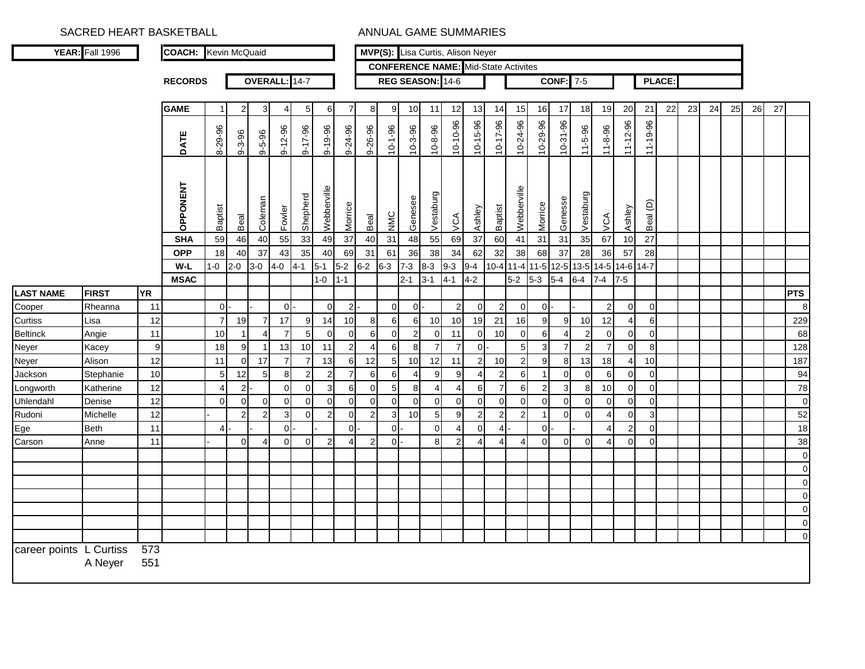|                         | YEAR: Fall 1996 |            | <b>COACH:</b> Kevin McQuaid |                |                |                |                 |                |                |                       |                |                |                | MVP(S): Lisa Curtis, Alison Neyer |                         |                |                |                                             |                |              |                               |                 |                |                 |               |    |    |    |    |    |                |
|-------------------------|-----------------|------------|-----------------------------|----------------|----------------|----------------|-----------------|----------------|----------------|-----------------------|----------------|----------------|----------------|-----------------------------------|-------------------------|----------------|----------------|---------------------------------------------|----------------|--------------|-------------------------------|-----------------|----------------|-----------------|---------------|----|----|----|----|----|----------------|
|                         |                 |            |                             |                |                |                |                 |                |                |                       |                |                |                |                                   |                         |                |                | <b>CONFERENCE NAME:</b> Mid-State Activites |                |              |                               |                 |                |                 |               |    |    |    |    |    |                |
|                         |                 |            | <b>RECORDS</b>              |                |                |                | OVERALL: 14-7   |                |                |                       |                |                |                | REG SEASON: 14-6                  |                         |                |                |                                             |                | <b>CONF:</b> | $7-5$                         |                 |                |                 | <b>PLACE:</b> |    |    |    |    |    |                |
|                         |                 |            |                             |                |                |                |                 |                |                |                       |                |                |                |                                   |                         |                |                |                                             |                |              |                               |                 |                |                 |               |    |    |    |    |    |                |
|                         |                 |            | <b>GAME</b>                 |                | 2              | 3              | 4               | 5              | 6              | 7                     | 8              | 9              | 10             | 11                                | 12                      | 13             | 14             | 15                                          | 16             | 17           | 18                            | 19              | 20             | 21              | 22            | 23 | 24 | 25 | 26 | 27 |                |
|                         |                 |            | DATE                        | 8-29-96        | $9 - 3 - 96$   | $9 - 5 - 96$   | $9 - 12 - 96$   | $9 - 17 - 96$  | $9 - 19 - 96$  | 9-24-96               | 9-26-96        | $10 - 1 - 96$  | $10 - 3 - 96$  | $10 - 8 - 96$                     | 10-10-96                | 10-15-96       | $10 - 17 - 96$ | 10-24-96                                    | 10-29-96       | 10-31-96     | $11 - 5 - 96$                 | 11-8-96         | $11 - 12 - 96$ | 11-19-96        |               |    |    |    |    |    |                |
|                         |                 |            | OPPONENT                    | Baptist        | Beal           | Coleman        | Fowler          | Shepherd       | Webberville    | Morrice               | Beal           | NMC            | Genesee        | Vestaburg                         | $\overline{\mathsf{X}}$ | Ashley         | Baptist        | Webberville                                 | Morrice        | Genesse      | Vestaburg                     | VCA             | Ashley         | Beal (D)        |               |    |    |    |    |    |                |
|                         |                 |            | <b>SHA</b>                  | 59             | 46             | 40             | $\overline{55}$ | 33             | 49             | 37                    | 40             | 31             | 48             | 55                                | 69                      | 37             | 60             | 41                                          | 31             | 31           | 35                            | 67              | 10             | $\overline{27}$ |               |    |    |    |    |    |                |
|                         |                 |            | <b>OPP</b>                  | 18             | 40             | 37             | 43              | 35             | 40             | 69                    | 31             | 61             | 36             | 38                                | 34                      | 62             | 32             | 38                                          | 68             | 37           | 28                            | 36              | 57             | 28              |               |    |    |    |    |    |                |
|                         |                 |            | $W-L$                       | $1 - 0$        | $2 - 0$        | $3-0$          | $4 - 0$         | $4 - 1$        | $5 - 1$        | $5-2$                 | $6 - 2$        | $6 - 3$        | $7 - 3$        | $8 - 3$                           | $9 - 3$                 | $9 - 4$        | $10-4$ 11-4    |                                             |                |              | 11-5 12-5 13-5 14-5 14-6 14-7 |                 |                |                 |               |    |    |    |    |    |                |
|                         |                 |            | <b>MSAC</b>                 |                |                |                |                 |                | $1 - 0$        | $1 - 1$               |                |                | $2 - 1$        | $3 - 1$                           | $4 - 1$                 | $4 - 2$        |                | $5-2$                                       | $5-3$          | $5-4$        | $6 - 4$                       | $7 - 4$         | $7-5$          |                 |               |    |    |    |    |    |                |
| <b>LAST NAME</b>        | <b>FIRST</b>    | <b>YR</b>  |                             |                |                |                |                 |                |                |                       |                |                |                |                                   |                         |                |                |                                             |                |              |                               |                 |                |                 |               |    |    |    |    |    | <b>PTS</b>     |
| Cooper                  | Rheanna         | 11         |                             | $\overline{0}$ |                |                | -ol             |                | $\overline{0}$ | 2                     |                | $\overline{0}$ | οI.            |                                   | 2                       | $\overline{0}$ | $\overline{2}$ | $\mathbf 0$                                 | 0 <sup>1</sup> |              |                               | $\overline{2}$  | $\overline{0}$ | $\overline{0}$  |               |    |    |    |    |    | 8              |
| <b>Curtiss</b>          | Lisa            | 12         |                             | $\overline{7}$ | 19             | $\overline{7}$ | 17              | 9              | 14             | 10                    | 8              | 6              | $6 \mid$       | 10                                | 10                      | 19             | 21             | 16                                          | 9 <sup>1</sup> | 9            | 10 <sup>1</sup>               | 12              | $\overline{4}$ | 6               |               |    |    |    |    |    | 229            |
| Beltinck                | Angie           | 11         |                             | 10             |                | 4              | $\overline{7}$  | 5              | $\mathbf 0$    | $\overline{0}$        | 6              | $\overline{0}$ | $\overline{2}$ | $\Omega$                          | 11                      | $\Omega$       | 10             | $\Omega$                                    | $6 \mid$       |              | $\overline{2}$                | $\Omega$        | $\overline{0}$ | $\overline{0}$  |               |    |    |    |    |    | 68             |
| Neyer                   | Kacey           | 9          |                             | 18             | 9              | $\overline{1}$ | 13              | 10             | 11             | 2                     | 4              | 6              | 8              | $\overline{7}$                    | $\overline{7}$          | $\Omega$       |                | 5                                           | 3              |              | 2                             | $\overline{7}$  | $\overline{0}$ | 8               |               |    |    |    |    |    | 128            |
| Neyer                   | Alison          | 12         |                             | 11             | $\overline{0}$ | 17             | $\overline{7}$  | $\overline{7}$ | 13             | 6                     | 12             | 5              | 10             | 12                                | 11                      | $\overline{2}$ | 10             | $\overline{2}$                              | 9              | 8            | 13                            | 18              | $\overline{4}$ | 10              |               |    |    |    |    |    | 187            |
| Jackson                 | Stephanie       | 10         |                             | 5              | 12             | 5              | 8               | 2              | $\overline{2}$ | $\overline{7}$        | 6              | 6              | Δ              | 9                                 | 9                       |                | $\overline{2}$ | 6                                           |                | $\Omega$     | $\Omega$                      | 6               | $\Omega$       | $\Omega$        |               |    |    |    |    |    | 94             |
| Longworth               | Katherine       | 12         |                             | 4              | $\overline{2}$ |                | $\Omega$        | $\Omega$       | 3              | 6                     | $\mathbf 0$    | 5              | 8              | $\overline{4}$                    | $\overline{4}$          | 6              | $\overline{7}$ | 6                                           | $\overline{2}$ | 3            | 8 <sup>1</sup>                | 10 <sup>1</sup> | $\overline{0}$ | $\overline{0}$  |               |    |    |    |    |    | 78             |
| Uhlendahl               | Denise          | 12         |                             | $\Omega$       | $\overline{0}$ | $\overline{0}$ | $\Omega$        | $\Omega$       | $\Omega$       | $\Omega$              | $\Omega$       | $\Omega$       | $\Omega$       | $\Omega$                          | $\Omega$                | $\Omega$       | $\Omega$       | $\Omega$                                    | $\Omega$       | $\Omega$     | $\Omega$                      | $\Omega$        | $\overline{0}$ | $\overline{0}$  |               |    |    |    |    |    | $\mathbf 0$    |
| Rudoni                  | Michelle        | 12         |                             |                | 2              | $\overline{2}$ | 3               | $\mathbf{0}$   | $\overline{2}$ | $\overline{0}$        | $\overline{2}$ | 3 <sup>l</sup> | 10             | 5 <sub>l</sub>                    | 9                       | $\overline{2}$ | $\overline{2}$ | 2                                           | -1             | $\Omega$     | $\Omega$                      | 4               | $\overline{0}$ | $\mathbf{3}$    |               |    |    |    |    |    | 52             |
| Ege                     | <b>Beth</b>     | 11         |                             | 4              |                |                | $\Omega$        |                |                | $\Omega$              |                | $\Omega$       |                | $\Omega$                          | 4                       | $\Omega$       |                |                                             | $\Omega$       |              |                               |                 | $\overline{2}$ | $\overline{0}$  |               |    |    |    |    |    | 18             |
| Carson                  | Anne            | 11         |                             |                | $\cup$         | Δ              | $\Omega$        | $\Omega$       | $\overline{2}$ | $\boldsymbol{\Delta}$ | $\overline{2}$ | $\Omega$       |                | 8                                 | $\overline{2}$          |                |                |                                             | $\Omega$       | $\Omega$     | $\Omega$                      | 4               | $\Omega$       | $\Omega$        |               |    |    |    |    |    | 38             |
|                         |                 |            |                             |                |                |                |                 |                |                |                       |                |                |                |                                   |                         |                |                |                                             |                |              |                               |                 |                |                 |               |    |    |    |    |    | $\mathbf 0$    |
|                         |                 |            |                             |                |                |                |                 |                |                |                       |                |                |                |                                   |                         |                |                |                                             |                |              |                               |                 |                |                 |               |    |    |    |    |    | $\overline{0}$ |
|                         |                 |            |                             |                |                |                |                 |                |                |                       |                |                |                |                                   |                         |                |                |                                             |                |              |                               |                 |                |                 |               |    |    |    |    |    | $\mathbf 0$    |
|                         |                 |            |                             |                |                |                |                 |                |                |                       |                |                |                |                                   |                         |                |                |                                             |                |              |                               |                 |                |                 |               |    |    |    |    |    | $\mathbf 0$    |
|                         |                 |            |                             |                |                |                |                 |                |                |                       |                |                |                |                                   |                         |                |                |                                             |                |              |                               |                 |                |                 |               |    |    |    |    |    | $\circ$        |
|                         |                 |            |                             |                |                |                |                 |                |                |                       |                |                |                |                                   |                         |                |                |                                             |                |              |                               |                 |                |                 |               |    |    |    |    |    | $\circ$        |
|                         |                 |            |                             |                |                |                |                 |                |                |                       |                |                |                |                                   |                         |                |                |                                             |                |              |                               |                 |                |                 |               |    |    |    |    |    | $\overline{0}$ |
| career points L Curtiss | A Neyer         | 573<br>551 |                             |                |                |                |                 |                |                |                       |                |                |                |                                   |                         |                |                |                                             |                |              |                               |                 |                |                 |               |    |    |    |    |    |                |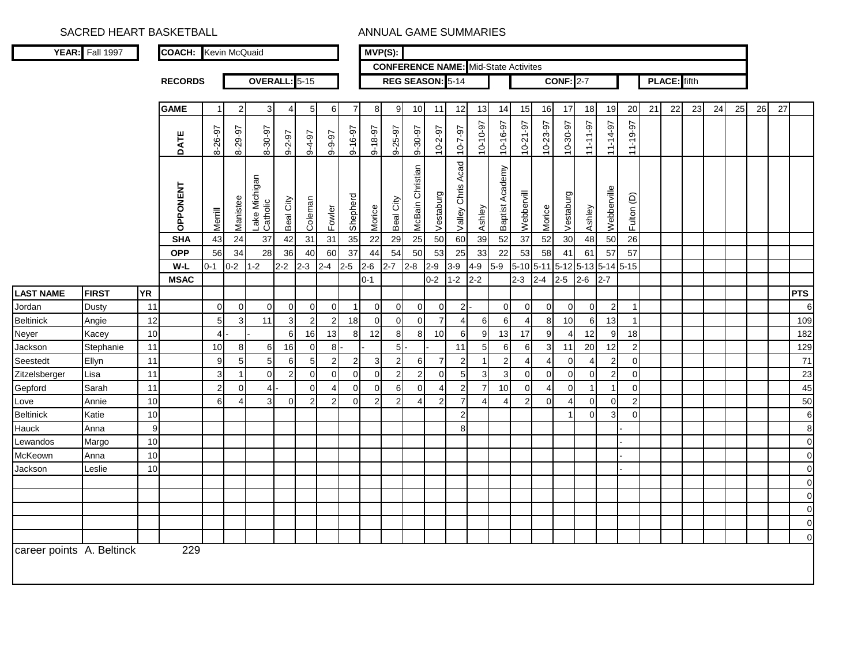|                           | YEAR: Fall 1997 |           | <b>COACH:</b> Kevin McQuaid |                |                 |                           |                |                |                |                | $MVP(S)$ :     |                |                  |                 |                         |                                             |                    |                |                |                       |             |                     |                |    |                     |    |    |    |    |    |                  |
|---------------------------|-----------------|-----------|-----------------------------|----------------|-----------------|---------------------------|----------------|----------------|----------------|----------------|----------------|----------------|------------------|-----------------|-------------------------|---------------------------------------------|--------------------|----------------|----------------|-----------------------|-------------|---------------------|----------------|----|---------------------|----|----|----|----|----|------------------|
|                           |                 |           |                             |                |                 |                           |                |                |                |                |                |                |                  |                 |                         | <b>CONFERENCE NAME:</b> Mid-State Activites |                    |                |                |                       |             |                     |                |    |                     |    |    |    |    |    |                  |
|                           |                 |           | <b>RECORDS</b>              |                |                 | OVERALL: 5-15             |                |                |                |                |                |                | REG SEASON: 5-14 |                 |                         |                                             |                    |                |                | <b>CONF: 2-7</b>      |             |                     |                |    | <b>PLACE:</b> fifth |    |    |    |    |    |                  |
|                           |                 |           |                             |                |                 |                           |                |                |                |                |                |                |                  |                 |                         |                                             |                    |                |                |                       |             |                     |                |    |                     |    |    |    |    |    |                  |
|                           |                 |           | <b>GAME</b>                 | -1             | 2               | 3                         | 4              | 5 <sub>l</sub> | 6              | $\overline{7}$ | 8              | 9              | 10               | 11              | 12                      | 13                                          | 14                 | 15             | 16             | 17                    | 18          | 19                  | 20             | 21 | 22                  | 23 | 24 | 25 | 26 | 27 |                  |
|                           |                 |           | DATE                        | 8-26-97        | 8-29-97         | 8-30-97                   | $9 - 2 - 97$   | $76 - 6$       | 0-9-97         | 9-16-97        | 9-18-97        | 9-25-97        | 9-30-97          | $10 - 2 - 97$   | $10 - 7 - 97$           | 10-10-97                                    | 10-16-97           | $10-21-97$     | 10-23-97       | 10-30-97              | $11 - 197$  | 11-14-97            | 11-19-97       |    |                     |    |    |    |    |    |                  |
|                           |                 |           | OPPONENT                    | Merrill        | Manistee        | Lake Michigan<br>Catholic | Beal City      | Coleman        | Fowler         | Shepherd       | Morice         | Beal City      | McBain Christian | Vestaburg       | Acad<br>Chris<br>Valley | Ashley                                      | Academy<br>Baptist | Webbervill     | Morice         | Vestaburg             | Ashley      | Webberville         | Fulton (D)     |    |                     |    |    |    |    |    |                  |
|                           |                 |           | <b>SHA</b>                  | 43             | 24              | 37                        | 42             | 31             | 31             | 35             | 22             | 29             | 25               | 50              | 60                      | 39                                          | 52                 | 37             | 52             | 30                    | 48          | 50                  | 26             |    |                     |    |    |    |    |    |                  |
|                           |                 |           | <b>OPP</b>                  | 56             | 34              | 28                        | 36             | 40             | 60             | 37             | 44             | 54             | 50               | 53              | 25                      | 33                                          | 22                 | 53             | 58             | 41                    | 61          | 57                  | 57             |    |                     |    |    |    |    |    |                  |
|                           |                 |           | W-L                         | $0 - 1$        | $0-2$           | $1 - 2$                   | $2-2$          | $2 - 3$        | $2 - 4$        | $2 - 5$        | $2 - 6$        | $2 - 7$        | $2 - 8$          | $2 - 9$         | $3-9$                   | $4 - 9$                                     | $5-9$              | $5-10$ 5-11    |                |                       |             | 5-12 5-13 5-14 5-15 |                |    |                     |    |    |    |    |    |                  |
|                           |                 |           | <b>MSAC</b>                 |                |                 |                           |                |                |                |                | $0 - 1$        |                |                  | $0 - 2$         | $1 - 2$                 | $2 - 2$                                     |                    | $2 - 3$        | $2 - 4$        | $2 - 5$               | $2 - 6$     | $2 - 7$             |                |    |                     |    |    |    |    |    |                  |
| <b>LAST NAME</b>          | <b>FIRST</b>    | <b>YR</b> |                             |                |                 |                           |                |                |                |                |                |                |                  |                 |                         |                                             |                    |                |                |                       |             |                     |                |    |                     |    |    |    |    |    | <b>PTS</b>       |
| Jordan                    | Dusty           | 11        |                             | $\overline{0}$ | $\overline{0}$  | $\overline{0}$            | $\overline{0}$ | $\overline{0}$ | $\overline{0}$ |                | $\overline{0}$ | $\overline{0}$ | $\overline{0}$   | $\overline{0}$  | 2                       |                                             | $\overline{0}$     | $\overline{0}$ | $\overline{0}$ | $\overline{0}$        | $\mathbf 0$ | $\overline{2}$      |                |    |                     |    |    |    |    |    | 6                |
| <b>Beltinick</b>          | Angie           | 12        |                             | $\overline{5}$ | 3               | 11                        | $\overline{3}$ | $\overline{2}$ | $\overline{2}$ | 18             | $\overline{0}$ | $\overline{0}$ | $\mathbf{0}$     | $\overline{7}$  | $\overline{4}$          | 6                                           | 6                  | $\overline{4}$ | 8              | 10                    | 6           | 13                  | $\mathbf{1}$   |    |                     |    |    |    |    |    | 109              |
| <b>Neyer</b>              | Kacey           | 10        |                             | 4              |                 |                           | 6              | 16             | 13             | 8 <sup>1</sup> | 12             | 8 <sup>1</sup> | 8 <sup>1</sup>   | 10 <sup>1</sup> | 6                       | 9                                           | 13                 | 17             | 9              | 4                     | 12          | 9                   | 18             |    |                     |    |    |    |    |    | 182              |
| Jackson                   | Stephanie       | 11        |                             | 10             | 8               | 6                         | 16             | $\overline{0}$ | 8 <sup>1</sup> |                |                | $5$ -          |                  |                 | 11                      | 5 <sub>l</sub>                              | 6                  | 6              | 3 <sup>1</sup> | 11                    | 20          | 12                  | $\overline{2}$ |    |                     |    |    |    |    |    | 129              |
| Seestedt                  | Ellyn           | 11        |                             | 9              | $5\overline{5}$ | 5 <sub>l</sub>            | 6              | 5 <sub>l</sub> | $\overline{2}$ | $\overline{2}$ | $\mathbf{3}$   | $\overline{2}$ | $6 \mid$         | $\overline{7}$  | $\overline{2}$          |                                             | $\overline{2}$     | 4              | 4              | $\Omega$              | 4           | $\overline{2}$      | $\mathbf 0$    |    |                     |    |    |    |    |    | 71               |
| Zitzelsberger             | Lisa            | 11        |                             | $\mathbf{3}$   | $\overline{1}$  | $\overline{0}$            | $\overline{2}$ | $\Omega$       | $\Omega$       | $\Omega$       | $\Omega$       | $\overline{2}$ | $\overline{2}$   | $\overline{0}$  | $5\phantom{.0}$         | 3                                           | 3                  | $\overline{0}$ | $\overline{0}$ | $\mathbf 0$           | $\mathbf 0$ | $\overline{2}$      | $\overline{0}$ |    |                     |    |    |    |    |    | 23               |
| Gepford                   | Sarah           | 11        |                             | $\overline{2}$ | $\overline{0}$  | $\overline{4}$            |                | $\Omega$       | Δ              | $\Omega$       | $\Omega$       | 6              | $\Omega$         | Δ               | 2                       | $\overline{7}$                              | 10                 | $\overline{0}$ | Δ              | $\Omega$              |             |                     | $\mathbf 0$    |    |                     |    |    |    |    |    | 45               |
| Love                      | Annie           | 10        |                             | 6              | $\overline{4}$  | $\overline{3}$            | $\Omega$       | $\overline{2}$ | $\overline{2}$ | $\Omega$       | 2              | $\overline{2}$ | $\overline{4}$   | $\overline{2}$  | $\overline{7}$          | 4                                           | 4                  | $\overline{2}$ | $\Omega$       | $\boldsymbol{\Delta}$ | $\Omega$    | $\Omega$            | 2 <sub>l</sub> |    |                     |    |    |    |    |    | 50               |
| <b>Beltinick</b>          | Katie           | 10        |                             |                |                 |                           |                |                |                |                |                |                |                  |                 | $\mathbf{2}$            |                                             |                    |                |                |                       | $\Omega$    | 3                   | $\mathbf 0$    |    |                     |    |    |    |    |    | $\,6\,$          |
| Hauck                     | Anna            | 9         |                             |                |                 |                           |                |                |                |                |                |                |                  |                 | 8 <sup>1</sup>          |                                             |                    |                |                |                       |             |                     |                |    |                     |    |    |    |    |    | $\boldsymbol{8}$ |
| Lewandos                  | Margo           | 10        |                             |                |                 |                           |                |                |                |                |                |                |                  |                 |                         |                                             |                    |                |                |                       |             |                     |                |    |                     |    |    |    |    |    | $\overline{0}$   |
| McKeown                   | Anna            | 10        |                             |                |                 |                           |                |                |                |                |                |                |                  |                 |                         |                                             |                    |                |                |                       |             |                     |                |    |                     |    |    |    |    |    | $\mathbf 0$      |
| Jackson                   | Leslie          | 10        |                             |                |                 |                           |                |                |                |                |                |                |                  |                 |                         |                                             |                    |                |                |                       |             |                     |                |    |                     |    |    |    |    |    | $\overline{0}$   |
|                           |                 |           |                             |                |                 |                           |                |                |                |                |                |                |                  |                 |                         |                                             |                    |                |                |                       |             |                     |                |    |                     |    |    |    |    |    | $\overline{0}$   |
|                           |                 |           |                             |                |                 |                           |                |                |                |                |                |                |                  |                 |                         |                                             |                    |                |                |                       |             |                     |                |    |                     |    |    |    |    |    | $\overline{0}$   |
|                           |                 |           |                             |                |                 |                           |                |                |                |                |                |                |                  |                 |                         |                                             |                    |                |                |                       |             |                     |                |    |                     |    |    |    |    |    | $\overline{0}$   |
|                           |                 |           |                             |                |                 |                           |                |                |                |                |                |                |                  |                 |                         |                                             |                    |                |                |                       |             |                     |                |    |                     |    |    |    |    |    | $\overline{0}$   |
|                           |                 |           |                             |                |                 |                           |                |                |                |                |                |                |                  |                 |                         |                                             |                    |                |                |                       |             |                     |                |    |                     |    |    |    |    |    | $\overline{0}$   |
| career points A. Beltinck |                 |           | 229                         |                |                 |                           |                |                |                |                |                |                |                  |                 |                         |                                             |                    |                |                |                       |             |                     |                |    |                     |    |    |    |    |    |                  |